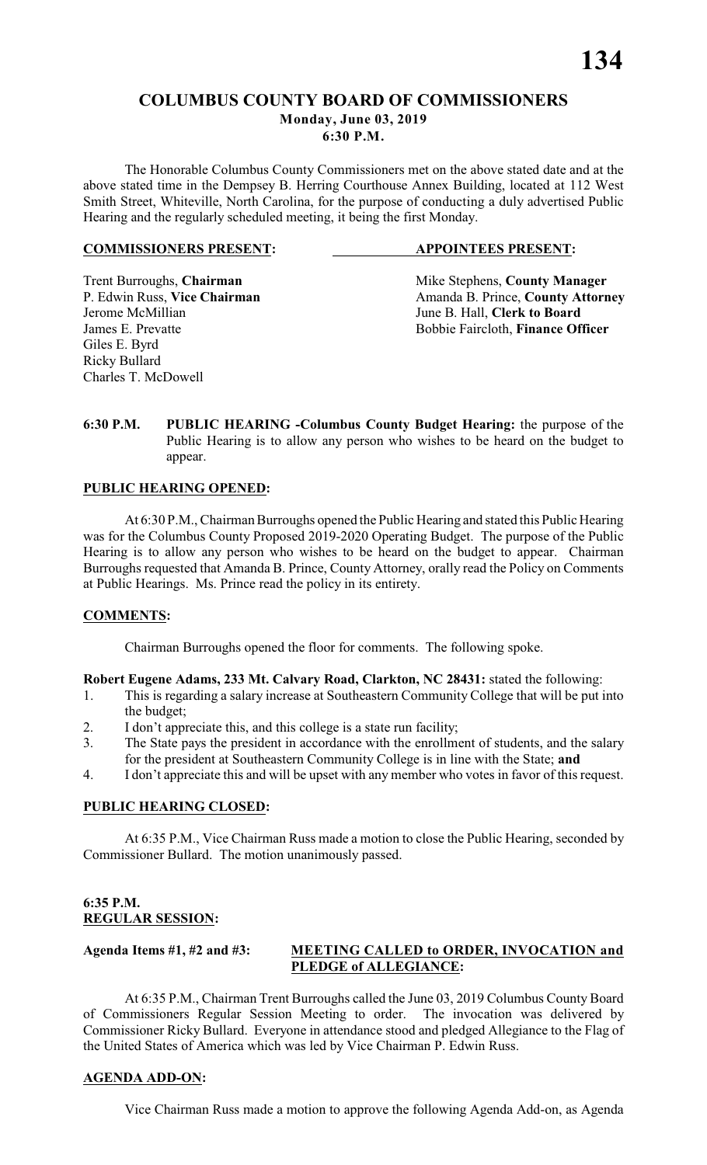# **COLUMBUS COUNTY BOARD OF COMMISSIONERS Monday, June 03, 2019**

**6:30 P.M.**

The Honorable Columbus County Commissioners met on the above stated date and at the above stated time in the Dempsey B. Herring Courthouse Annex Building, located at 112 West Smith Street, Whiteville, North Carolina, for the purpose of conducting a duly advertised Public Hearing and the regularly scheduled meeting, it being the first Monday.

#### **COMMISSIONERS PRESENT: APPOINTEES PRESENT:**

Jerome McMillian June B. Hall, **Clerk to Board** Giles E. Byrd Ricky Bullard Charles T. McDowell

Trent Burroughs, **Chairman** Mike Stephens, **County Manager** P. Edwin Russ, Vice Chairman Manager Amanda B. Prince, **County Attorn** P. Edwin Russ, **Vice Chairman** Amanda B. Prince, **County Attorney**<br>Jerome McMillian June B. Hall, **Clerk to Board** Bobbie Faircloth, Finance Officer

**6:30 P.M. PUBLIC HEARING -Columbus County Budget Hearing:** the purpose of the Public Hearing is to allow any person who wishes to be heard on the budget to appear.

# **PUBLIC HEARING OPENED:**

At 6:30 P.M., Chairman Burroughs opened the Public Hearing and stated this Public Hearing was for the Columbus County Proposed 2019-2020 Operating Budget. The purpose of the Public Hearing is to allow any person who wishes to be heard on the budget to appear. Chairman Burroughs requested that Amanda B. Prince, County Attorney, orally read the Policy on Comments at Public Hearings. Ms. Prince read the policy in its entirety.

# **COMMENTS:**

Chairman Burroughs opened the floor for comments. The following spoke.

# **Robert Eugene Adams, 233 Mt. Calvary Road, Clarkton, NC 28431:** stated the following:

- 1. This is regarding a salary increase at Southeastern Community College that will be put into the budget;
- 2. I don't appreciate this, and this college is a state run facility;
- 3. The State pays the president in accordance with the enrollment of students, and the salary for the president at Southeastern Community College is in line with the State; **and**
- 4. I don't appreciate this and will be upset with any member who votes in favor of this request.

# **PUBLIC HEARING CLOSED:**

At 6:35 P.M., Vice Chairman Russ made a motion to close the Public Hearing, seconded by Commissioner Bullard. The motion unanimously passed.

# **6:35 P.M. REGULAR SESSION:**

# **Agenda Items #1, #2 and #3: MEETING CALLED to ORDER, INVOCATION and PLEDGE of ALLEGIANCE:**

At 6:35 P.M., Chairman Trent Burroughs called the June 03, 2019 Columbus County Board of Commissioners Regular Session Meeting to order. The invocation was delivered by Commissioner Ricky Bullard. Everyone in attendance stood and pledged Allegiance to the Flag of the United States of America which was led by Vice Chairman P. Edwin Russ.

# **AGENDA ADD-ON:**

Vice Chairman Russ made a motion to approve the following Agenda Add-on, as Agenda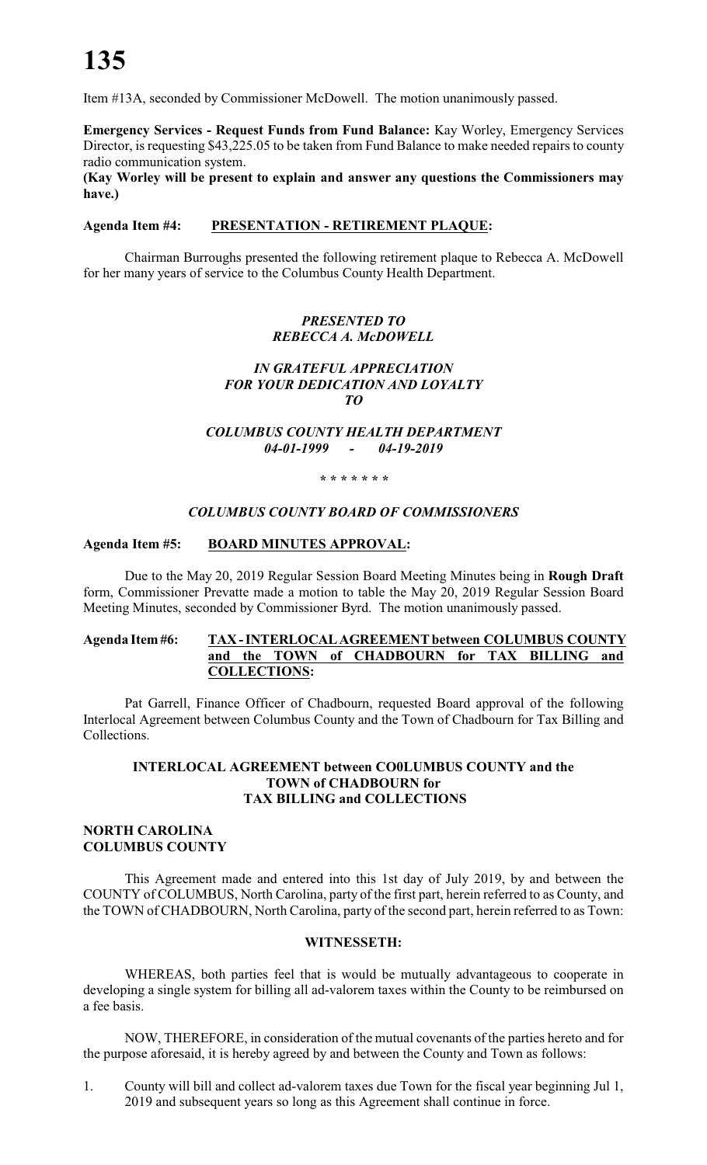Item #13A, seconded by Commissioner McDowell. The motion unanimously passed.

**Emergency Services - Request Funds from Fund Balance:** Kay Worley, Emergency Services Director, is requesting \$43,225.05 to be taken from Fund Balance to make needed repairs to county radio communication system.

**(Kay Worley will be present to explain and answer any questions the Commissioners may have.)**

#### **Agenda Item #4: PRESENTATION - RETIREMENT PLAQUE:**

Chairman Burroughs presented the following retirement plaque to Rebecca A. McDowell for her many years of service to the Columbus County Health Department.

# *PRESENTED TO REBECCA A. McDOWELL*

# *IN GRATEFUL APPRECIATION FOR YOUR DEDICATION AND LOYALTY TO*

# *COLUMBUS COUNTY HEALTH DEPARTMENT 04-01-1999 - 04-19-2019*

*\* \* \* \* \* \* \**

# *COLUMBUS COUNTY BOARD OF COMMISSIONERS*

# **Agenda Item #5: BOARD MINUTES APPROVAL:**

Due to the May 20, 2019 Regular Session Board Meeting Minutes being in **Rough Draft** form, Commissioner Prevatte made a motion to table the May 20, 2019 Regular Session Board Meeting Minutes, seconded by Commissioner Byrd. The motion unanimously passed.

## **Agenda Item #6: TAX - INTERLOCAL AGREEMENT between COLUMBUS COUNTY and the TOWN of CHADBOURN for TAX BILLING and COLLECTIONS:**

Pat Garrell, Finance Officer of Chadbourn, requested Board approval of the following Interlocal Agreement between Columbus County and the Town of Chadbourn for Tax Billing and Collections.

#### **INTERLOCAL AGREEMENT between CO0LUMBUS COUNTY and the TOWN of CHADBOURN for TAX BILLING and COLLECTIONS**

#### **NORTH CAROLINA COLUMBUS COUNTY**

This Agreement made and entered into this 1st day of July 2019, by and between the COUNTY of COLUMBUS, North Carolina, party of the first part, herein referred to as County, and the TOWN of CHADBOURN, North Carolina, party of the second part, herein referred to as Town:

#### **WITNESSETH:**

WHEREAS, both parties feel that is would be mutually advantageous to cooperate in developing a single system for billing all ad-valorem taxes within the County to be reimbursed on a fee basis.

NOW, THEREFORE, in consideration of the mutual covenants of the parties hereto and for the purpose aforesaid, it is hereby agreed by and between the County and Town as follows:

1. County will bill and collect ad-valorem taxes due Town for the fiscal year beginning Jul 1, 2019 and subsequent years so long as this Agreement shall continue in force.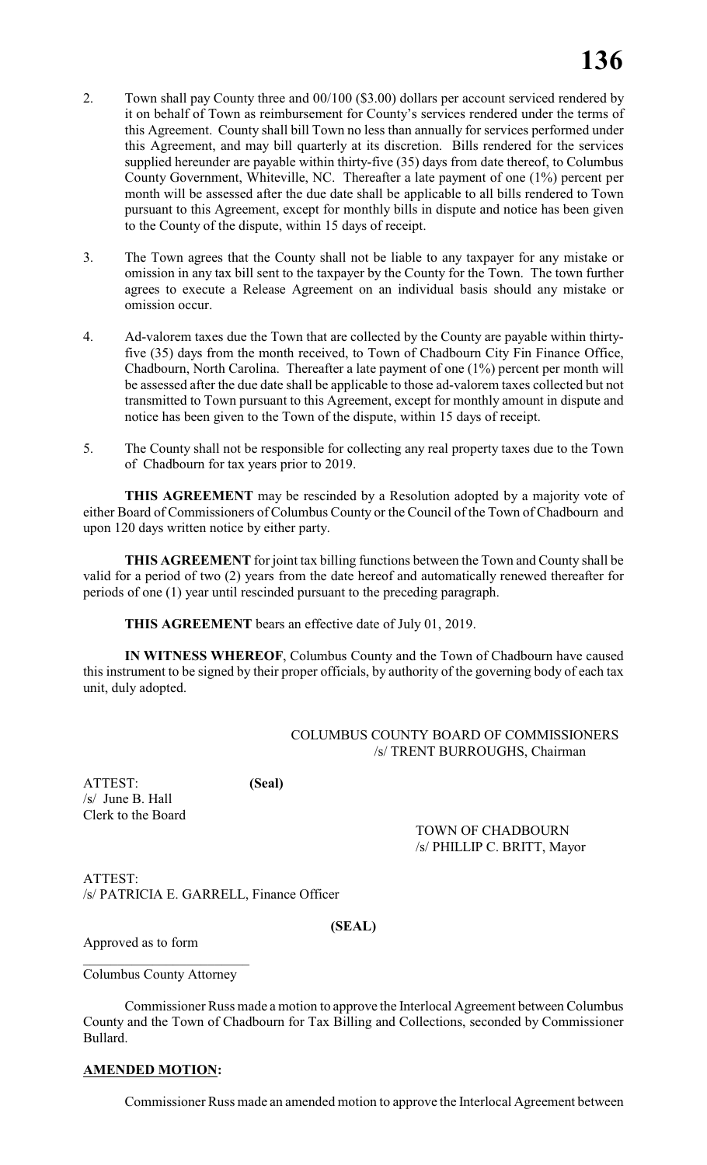- 2. Town shall pay County three and 00/100 (\$3.00) dollars per account serviced rendered by it on behalf of Town as reimbursement for County's services rendered under the terms of this Agreement. County shall bill Town no less than annually for services performed under this Agreement, and may bill quarterly at its discretion. Bills rendered for the services supplied hereunder are payable within thirty-five (35) days from date thereof, to Columbus County Government, Whiteville, NC. Thereafter a late payment of one (1%) percent per month will be assessed after the due date shall be applicable to all bills rendered to Town pursuant to this Agreement, except for monthly bills in dispute and notice has been given to the County of the dispute, within 15 days of receipt.
- 3. The Town agrees that the County shall not be liable to any taxpayer for any mistake or omission in any tax bill sent to the taxpayer by the County for the Town. The town further agrees to execute a Release Agreement on an individual basis should any mistake or omission occur.
- 4. Ad-valorem taxes due the Town that are collected by the County are payable within thirtyfive (35) days from the month received, to Town of Chadbourn City Fin Finance Office, Chadbourn, North Carolina. Thereafter a late payment of one (1%) percent per month will be assessed after the due date shall be applicable to those ad-valorem taxes collected but not transmitted to Town pursuant to this Agreement, except for monthly amount in dispute and notice has been given to the Town of the dispute, within 15 days of receipt.
- 5. The County shall not be responsible for collecting any real property taxes due to the Town of Chadbourn for tax years prior to 2019.

**THIS AGREEMENT** may be rescinded by a Resolution adopted by a majority vote of either Board of Commissioners of Columbus County or the Council of the Town of Chadbourn and upon 120 days written notice by either party.

**THIS AGREEMENT** for joint tax billing functions between the Town and County shall be valid for a period of two (2) years from the date hereof and automatically renewed thereafter for periods of one (1) year until rescinded pursuant to the preceding paragraph.

**THIS AGREEMENT** bears an effective date of July 01, 2019.

**IN WITNESS WHEREOF**, Columbus County and the Town of Chadbourn have caused this instrument to be signed by their proper officials, by authority of the governing body of each tax unit, duly adopted.

# COLUMBUS COUNTY BOARD OF COMMISSIONERS /s/ TRENT BURROUGHS, Chairman

ATTEST: **(Seal)** /s/ June B. Hall Clerk to the Board

# TOWN OF CHADBOURN /s/ PHILLIP C. BRITT, Mayor

ATTEST: /s/ PATRICIA E. GARRELL, Finance Officer

# **(SEAL)**

Approved as to form

Columbus County Attorney

Commissioner Russ made a motion to approve the Interlocal Agreement between Columbus County and the Town of Chadbourn for Tax Billing and Collections, seconded by Commissioner Bullard.

# **AMENDED MOTION:**

Commissioner Russ made an amended motion to approve the Interlocal Agreement between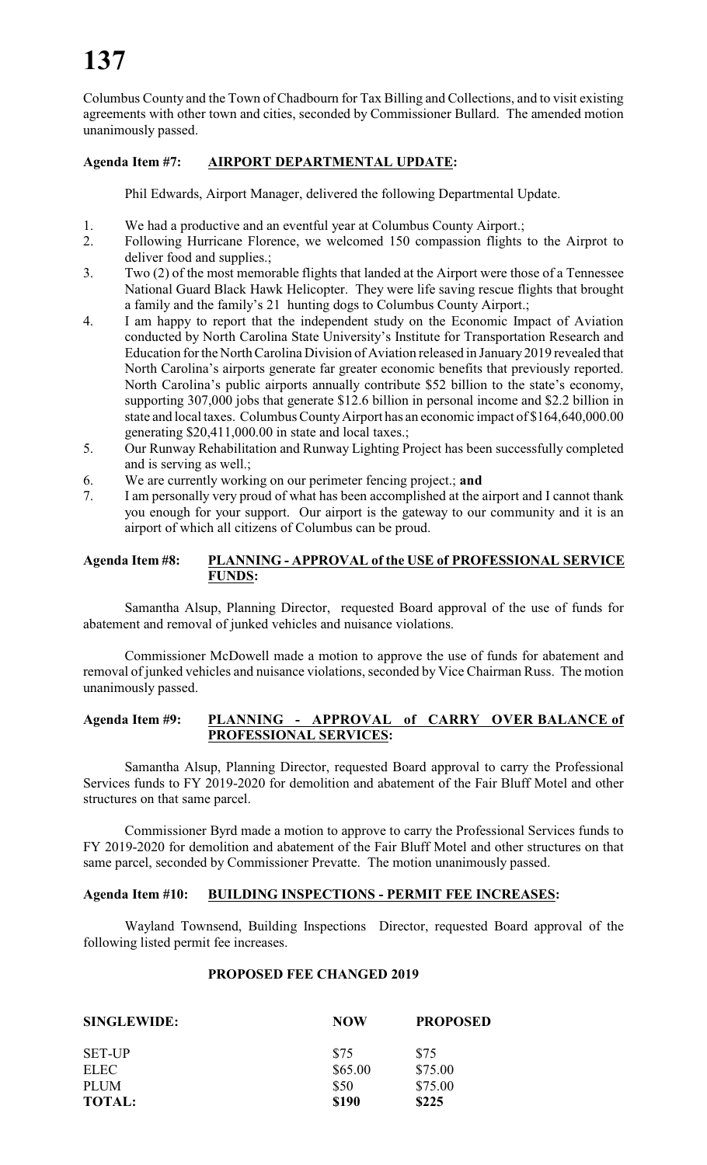Columbus County and the Town of Chadbourn for Tax Billing and Collections, and to visit existing agreements with other town and cities, seconded by Commissioner Bullard. The amended motion unanimously passed.

# **Agenda Item #7: AIRPORT DEPARTMENTAL UPDATE:**

Phil Edwards, Airport Manager, delivered the following Departmental Update.

- 1. We had a productive and an eventful year at Columbus County Airport.;
- 2. Following Hurricane Florence, we welcomed 150 compassion flights to the Airprot to deliver food and supplies.;
- 3. Two (2) of the most memorable flights that landed at the Airport were those of a Tennessee National Guard Black Hawk Helicopter. They were life saving rescue flights that brought a family and the family's 21 hunting dogs to Columbus County Airport.;
- 4. I am happy to report that the independent study on the Economic Impact of Aviation conducted by North Carolina State University's Institute for Transportation Research and Education for the North Carolina Division of Aviation released in January 2019 revealed that North Carolina's airports generate far greater economic benefits that previously reported. North Carolina's public airports annually contribute \$52 billion to the state's economy, supporting 307,000 jobs that generate \$12.6 billion in personal income and \$2.2 billion in state and local taxes. Columbus CountyAirport has an economic impact of \$164,640,000.00 generating \$20,411,000.00 in state and local taxes.;
- 5. Our Runway Rehabilitation and Runway Lighting Project has been successfully completed and is serving as well.;
- 6. We are currently working on our perimeter fencing project.; **and**
- 7. I am personally very proud of what has been accomplished at the airport and I cannot thank you enough for your support. Our airport is the gateway to our community and it is an airport of which all citizens of Columbus can be proud.

# **Agenda Item #8: PLANNING - APPROVAL of the USE of PROFESSIONAL SERVICE FUNDS:**

Samantha Alsup, Planning Director, requested Board approval of the use of funds for abatement and removal of junked vehicles and nuisance violations.

Commissioner McDowell made a motion to approve the use of funds for abatement and removal of junked vehicles and nuisance violations, seconded by Vice Chairman Russ. The motion unanimously passed.

# **Agenda Item #9: PLANNING - APPROVAL of CARRY OVER BALANCE of PROFESSIONAL SERVICES:**

Samantha Alsup, Planning Director, requested Board approval to carry the Professional Services funds to FY 2019-2020 for demolition and abatement of the Fair Bluff Motel and other structures on that same parcel.

Commissioner Byrd made a motion to approve to carry the Professional Services funds to FY 2019-2020 for demolition and abatement of the Fair Bluff Motel and other structures on that same parcel, seconded by Commissioner Prevatte. The motion unanimously passed.

# **Agenda Item #10: BUILDING INSPECTIONS - PERMIT FEE INCREASES:**

Wayland Townsend, Building Inspections Director, requested Board approval of the following listed permit fee increases.

# **PROPOSED FEE CHANGED 2019**

| <b>SINGLEWIDE:</b> | <b>NOW</b> | <b>PROPOSED</b> |
|--------------------|------------|-----------------|
| <b>SET-UP</b>      | \$75       | \$75            |
| <b>ELEC</b>        | \$65.00    | \$75.00         |
| <b>PLUM</b>        | \$50       | \$75.00         |
| <b>TOTAL:</b>      | \$190      | \$225           |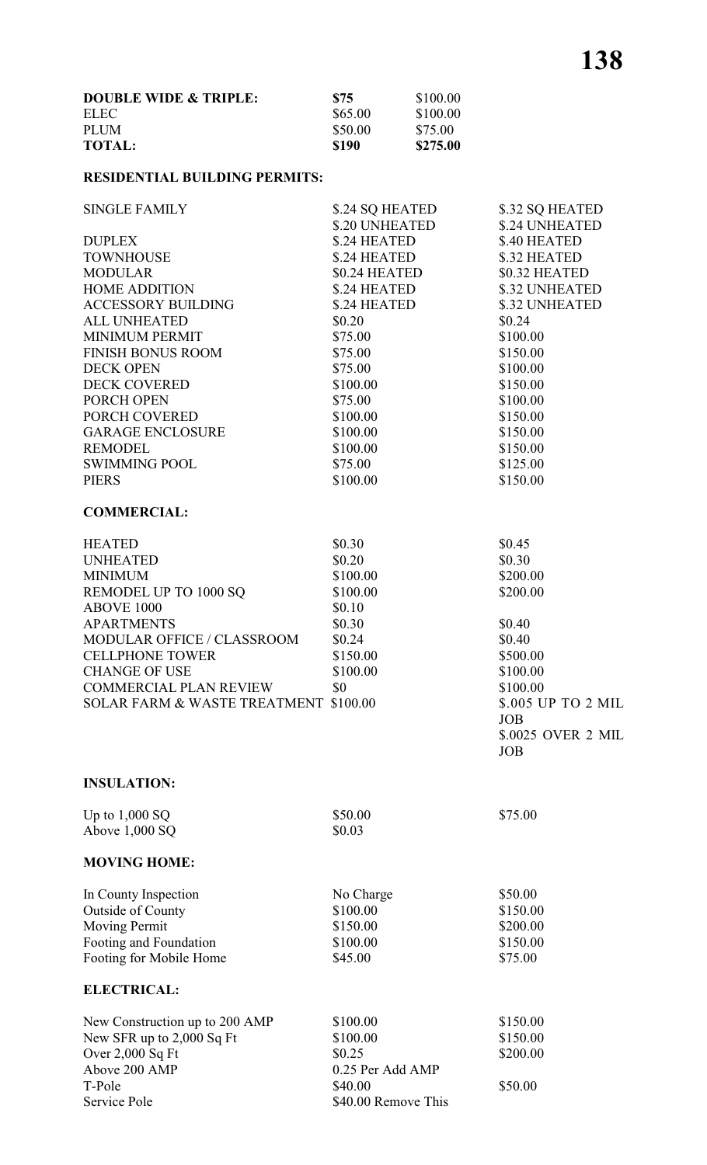| <b>DOUBLE WIDE &amp; TRIPLE:</b> | \$75    | \$100.00 |
|----------------------------------|---------|----------|
| ELEC.                            | \$65.00 | \$100.00 |
| <b>PLUM</b>                      | \$50.00 | \$75.00  |
| <b>TOTAL:</b>                    | \$190   | \$275.00 |

# **RESIDENTIAL BUILDING PERMITS:**

| <b>SINGLE FAMILY</b>                  | \$.24 SQ HEATED<br>\$.20 UNHEATED | \$.32 SQ HEATED<br>\$.24 UNHEATED |
|---------------------------------------|-----------------------------------|-----------------------------------|
| <b>DUPLEX</b>                         | \$.24 HEATED                      | \$.40 HEATED                      |
| TOWNHOUSE                             | \$.24 HEATED                      | \$.32 HEATED                      |
| <b>MODULAR</b>                        | \$0.24 HEATED<br>\$.24 HEATED     | \$0.32 HEATED                     |
| <b>HOME ADDITION</b>                  |                                   | \$.32 UNHEATED                    |
| ACCESSORY BUILDING<br>ALL UNIUEATED   | \$.24 HEATED                      | \$.32 UNHEATED                    |
| <b>ALL UNHEATED</b>                   | \$0.20                            | \$0.24                            |
| <b>MINIMUM PERMIT</b>                 | \$75.00                           | \$100.00                          |
| <b>FINISH BONUS ROOM</b>              | \$75.00                           | \$150.00                          |
| <b>DECK OPEN</b>                      | \$75.00                           | \$100.00                          |
| DECK COVERED                          | \$100.00                          | \$150.00                          |
| PORCH OPEN                            | \$75.00                           | \$100.00                          |
| PORCH COVERED                         | \$100.00                          | \$150.00                          |
| <b>GARAGE ENCLOSURE</b>               | \$100.00                          | \$150.00                          |
| <b>REMODEL</b>                        | \$100.00                          | \$150.00                          |
| <b>SWIMMING POOL</b>                  | \$75.00                           | \$125.00                          |
| <b>PIERS</b>                          | \$100.00                          | \$150.00                          |
| <b>COMMERCIAL:</b>                    |                                   |                                   |
| <b>HEATED</b>                         | \$0.30                            | \$0.45                            |
| <b>UNHEATED</b>                       | \$0.20                            | \$0.30                            |
| <b>MINIMUM</b>                        | \$100.00                          | \$200.00                          |
| REMODEL UP TO 1000 SQ                 | \$100.00                          | \$200.00                          |
| ABOVE 1000                            | \$0.10                            |                                   |
| <b>APARTMENTS</b>                     | \$0.30                            | \$0.40                            |
| MODULAR OFFICE / CLASSROOM            | \$0.24                            | \$0.40                            |
| <b>CELLPHONE TOWER</b>                | \$150.00                          | \$500.00                          |
| <b>CHANGE OF USE</b>                  | \$100.00                          | \$100.00                          |
| COMMERCIAL PLAN REVIEW                | \$0                               | \$100.00                          |
| SOLAR FARM & WASTE TREATMENT \$100.00 |                                   | \$.005 UP TO 2 MIL<br><b>JOB</b>  |
|                                       |                                   | \$.0025 OVER 2 MIL<br><b>JOB</b>  |
| <b>INSULATION:</b>                    |                                   |                                   |
| Up to $1,000$ SQ                      | \$50.00                           | \$75.00                           |
| Above 1,000 SQ                        | \$0.03                            |                                   |
| <b>MOVING HOME:</b>                   |                                   |                                   |
| In County Inspection                  | No Charge                         | \$50.00                           |
| Outside of County                     | \$100.00                          | \$150.00                          |
| <b>Moving Permit</b>                  | \$150.00                          | \$200.00                          |
| Footing and Foundation                | \$100.00                          | \$150.00                          |
| Footing for Mobile Home               | \$45.00                           | \$75.00                           |
| <b>ELECTRICAL:</b>                    |                                   |                                   |
| New Construction up to 200 AMP        | \$100.00                          | \$150.00                          |
| New SFR up to 2,000 Sq Ft             | \$100.00                          | \$150.00                          |
| Over 2,000 Sq Ft                      | \$0.25                            | \$200.00                          |
| Above 200 AMP                         | 0.25 Per Add AMP                  |                                   |
| T-Pole                                | \$40.00                           | \$50.00                           |
| Service Pole                          | \$40.00 Remove This               |                                   |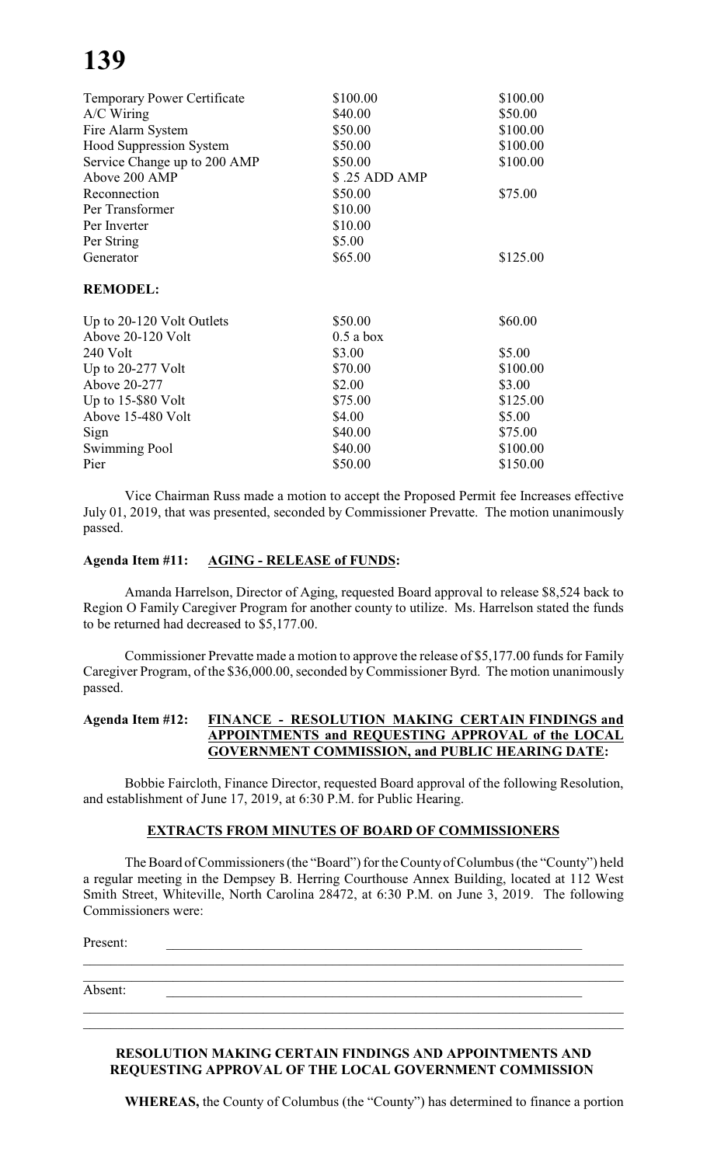# **139**

| \$100.00      | \$100.00 |
|---------------|----------|
| \$40.00       | \$50.00  |
| \$50.00       | \$100.00 |
| \$50.00       | \$100.00 |
| \$50.00       | \$100.00 |
| \$.25 ADD AMP |          |
| \$50.00       | \$75.00  |
| \$10.00       |          |
| \$10.00       |          |
| \$5.00        |          |
| \$65.00       | \$125.00 |
|               |          |
| \$50.00       | \$60.00  |
| $0.5$ a box   |          |
| \$3.00        | \$5.00   |
| \$70.00       | \$100.00 |
| \$2.00        | \$3.00   |
| \$75.00       | \$125.00 |
| \$4.00        | \$5.00   |
| \$40.00       | \$75.00  |
| \$40.00       | \$100.00 |
| \$50.00       | \$150.00 |
|               |          |

Vice Chairman Russ made a motion to accept the Proposed Permit fee Increases effective July 01, 2019, that was presented, seconded by Commissioner Prevatte. The motion unanimously passed.

# **Agenda Item #11: AGING - RELEASE of FUNDS:**

Amanda Harrelson, Director of Aging, requested Board approval to release \$8,524 back to Region O Family Caregiver Program for another county to utilize. Ms. Harrelson stated the funds to be returned had decreased to \$5,177.00.

Commissioner Prevatte made a motion to approve the release of \$5,177.00 funds for Family Caregiver Program, of the \$36,000.00, seconded by Commissioner Byrd. The motion unanimously passed.

# **Agenda Item #12: FINANCE - RESOLUTION MAKING CERTAIN FINDINGS and APPOINTMENTS and REQUESTING APPROVAL of the LOCAL GOVERNMENT COMMISSION, and PUBLIC HEARING DATE:**

Bobbie Faircloth, Finance Director, requested Board approval of the following Resolution, and establishment of June 17, 2019, at 6:30 P.M. for Public Hearing.

# **EXTRACTS FROM MINUTES OF BOARD OF COMMISSIONERS**

The Board of Commissioners (the "Board") for the County of Columbus (the "County") held a regular meeting in the Dempsey B. Herring Courthouse Annex Building, located at 112 West Smith Street, Whiteville, North Carolina 28472, at 6:30 P.M. on June 3, 2019. The following Commissioners were:

Present:

\_\_\_\_\_\_\_\_\_\_\_\_\_\_\_\_\_\_\_\_\_\_\_\_\_\_\_\_\_\_\_\_\_\_\_\_\_\_\_\_\_\_\_\_\_\_\_\_\_\_\_\_\_\_\_\_\_\_\_\_\_\_\_\_\_\_\_\_\_\_\_\_\_\_\_\_\_\_ Absent:

# **RESOLUTION MAKING CERTAIN FINDINGS AND APPOINTMENTS AND REQUESTING APPROVAL OF THE LOCAL GOVERNMENT COMMISSION**

\_\_\_\_\_\_\_\_\_\_\_\_\_\_\_\_\_\_\_\_\_\_\_\_\_\_\_\_\_\_\_\_\_\_\_\_\_\_\_\_\_\_\_\_\_\_\_\_\_\_\_\_\_\_\_\_\_\_\_\_\_\_\_\_\_\_\_\_\_\_\_\_\_\_\_\_\_\_ \_\_\_\_\_\_\_\_\_\_\_\_\_\_\_\_\_\_\_\_\_\_\_\_\_\_\_\_\_\_\_\_\_\_\_\_\_\_\_\_\_\_\_\_\_\_\_\_\_\_\_\_\_\_\_\_\_\_\_\_\_\_\_\_\_\_\_\_\_\_\_\_\_\_\_\_\_\_

**WHEREAS,** the County of Columbus (the "County") has determined to finance a portion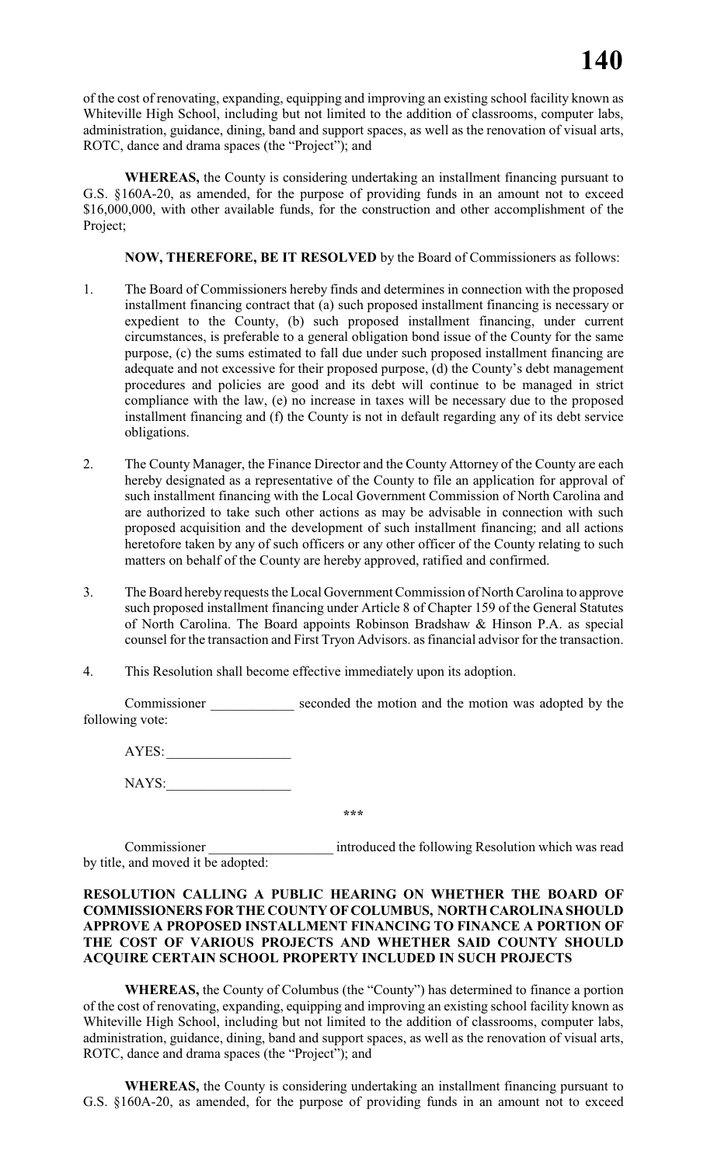of the cost of renovating, expanding, equipping and improving an existing school facility known as Whiteville High School, including but not limited to the addition of classrooms, computer labs, administration, guidance, dining, band and support spaces, as well as the renovation of visual arts, ROTC, dance and drama spaces (the "Project"); and

**WHEREAS,** the County is considering undertaking an installment financing pursuant to G.S. §160A-20, as amended, for the purpose of providing funds in an amount not to exceed \$16,000,000, with other available funds, for the construction and other accomplishment of the Project;

**NOW, THEREFORE, BE IT RESOLVED** by the Board of Commissioners as follows:

- 1. The Board of Commissioners hereby finds and determines in connection with the proposed installment financing contract that (a) such proposed installment financing is necessary or expedient to the County, (b) such proposed installment financing, under current circumstances, is preferable to a general obligation bond issue of the County for the same purpose, (c) the sums estimated to fall due under such proposed installment financing are adequate and not excessive for their proposed purpose, (d) the County's debt management procedures and policies are good and its debt will continue to be managed in strict compliance with the law, (e) no increase in taxes will be necessary due to the proposed installment financing and (f) the County is not in default regarding any of its debt service obligations.
- 2. The County Manager, the Finance Director and the County Attorney of the County are each hereby designated as a representative of the County to file an application for approval of such installment financing with the Local Government Commission of North Carolina and are authorized to take such other actions as may be advisable in connection with such proposed acquisition and the development of such installment financing; and all actions heretofore taken by any of such officers or any other officer of the County relating to such matters on behalf of the County are hereby approved, ratified and confirmed.
- 3. The Board hereby requests the Local Government Commission of North Carolina to approve such proposed installment financing under Article 8 of Chapter 159 of the General Statutes of North Carolina. The Board appoints Robinson Bradshaw & Hinson P.A. as special counsel for the transaction and First Tryon Advisors. as financial advisor for the transaction.
- 4. This Resolution shall become effective immediately upon its adoption.

Commissioner \_\_\_\_\_\_\_\_\_\_\_\_ seconded the motion and the motion was adopted by the following vote:

AYES:

NAYS:

**\*\*\***

Commissioner \_\_\_\_\_\_\_\_\_\_\_\_\_\_\_\_\_\_ introduced the following Resolution which was read by title, and moved it be adopted:

# **RESOLUTION CALLING A PUBLIC HEARING ON WHETHER THE BOARD OF COMMISSIONERS FOR THE COUNTY OF COLUMBUS, NORTH CAROLINA SHOULD APPROVE A PROPOSED INSTALLMENT FINANCING TO FINANCE A PORTION OF THE COST OF VARIOUS PROJECTS AND WHETHER SAID COUNTY SHOULD ACQUIRE CERTAIN SCHOOL PROPERTY INCLUDED IN SUCH PROJECTS**

**WHEREAS,** the County of Columbus (the "County") has determined to finance a portion of the cost of renovating, expanding, equipping and improving an existing school facility known as Whiteville High School, including but not limited to the addition of classrooms, computer labs, administration, guidance, dining, band and support spaces, as well as the renovation of visual arts, ROTC, dance and drama spaces (the "Project"); and

**WHEREAS,** the County is considering undertaking an installment financing pursuant to G.S. §160A-20, as amended, for the purpose of providing funds in an amount not to exceed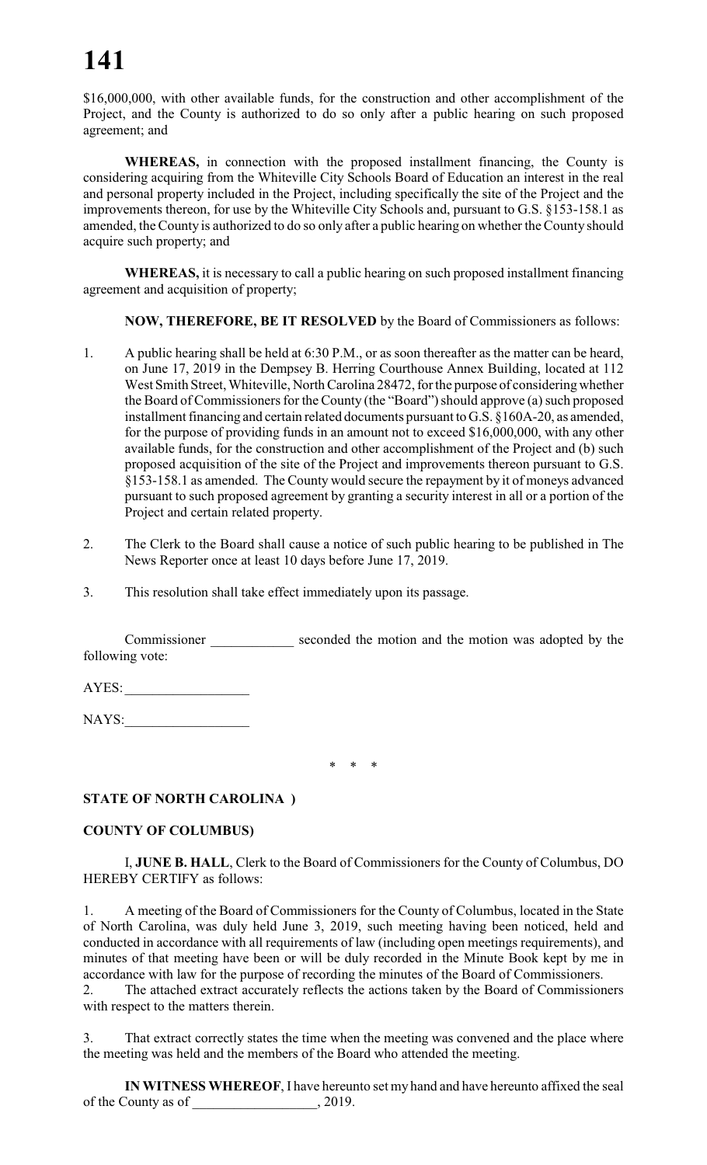\$16,000,000, with other available funds, for the construction and other accomplishment of the Project, and the County is authorized to do so only after a public hearing on such proposed agreement; and

**WHEREAS,** in connection with the proposed installment financing, the County is considering acquiring from the Whiteville City Schools Board of Education an interest in the real and personal property included in the Project, including specifically the site of the Project and the improvements thereon, for use by the Whiteville City Schools and, pursuant to G.S. §153-158.1 as amended, the County is authorized to do so only after a public hearing on whether the County should acquire such property; and

**WHEREAS,** it is necessary to call a public hearing on such proposed installment financing agreement and acquisition of property;

**NOW, THEREFORE, BE IT RESOLVED** by the Board of Commissioners as follows:

- 1. A public hearing shall be held at 6:30 P.M., or as soon thereafter as the matter can be heard, on June 17, 2019 in the Dempsey B. Herring Courthouse Annex Building, located at 112 West Smith Street, Whiteville, North Carolina 28472, for the purpose of considering whether the Board of Commissioners for the County (the "Board") should approve (a) such proposed installment financing and certain related documents pursuant to G.S. §160A-20, as amended, for the purpose of providing funds in an amount not to exceed \$16,000,000, with any other available funds, for the construction and other accomplishment of the Project and (b) such proposed acquisition of the site of the Project and improvements thereon pursuant to G.S. §153-158.1 as amended. The County would secure the repayment by it of moneys advanced pursuant to such proposed agreement by granting a security interest in all or a portion of the Project and certain related property.
- 2. The Clerk to the Board shall cause a notice of such public hearing to be published in The News Reporter once at least 10 days before June 17, 2019.
- 3. This resolution shall take effect immediately upon its passage.

Commissioner \_\_\_\_\_\_\_\_\_\_\_\_ seconded the motion and the motion was adopted by the following vote:

AYES:\_\_\_\_\_\_\_\_\_\_\_\_\_\_\_\_\_\_

NAYS:\_\_\_\_\_\_\_\_\_\_\_\_\_\_\_\_\_\_

\* \* \*

# **STATE OF NORTH CAROLINA )**

# **COUNTY OF COLUMBUS)**

I, **JUNE B. HALL**, Clerk to the Board of Commissioners for the County of Columbus, DO HEREBY CERTIFY as follows:

1. A meeting of the Board of Commissioners for the County of Columbus, located in the State of North Carolina, was duly held June 3, 2019, such meeting having been noticed, held and conducted in accordance with all requirements of law (including open meetings requirements), and minutes of that meeting have been or will be duly recorded in the Minute Book kept by me in accordance with law for the purpose of recording the minutes of the Board of Commissioners.

2. The attached extract accurately reflects the actions taken by the Board of Commissioners with respect to the matters therein.

3. That extract correctly states the time when the meeting was convened and the place where the meeting was held and the members of the Board who attended the meeting.

**IN WITNESS WHEREOF**, I have hereunto set my hand and have hereunto affixed the seal of the County as of \_\_\_\_\_\_\_\_\_\_\_\_\_\_\_, 2019.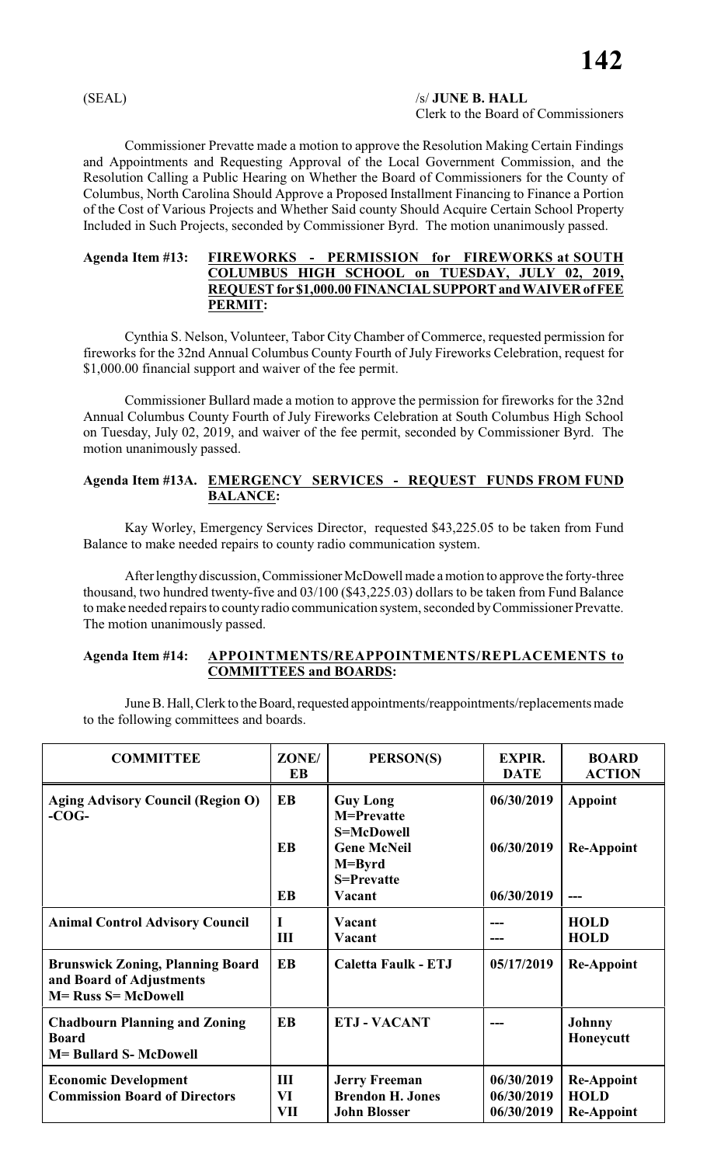# (SEAL) /s/ **JUNE B. HALL**

Clerk to the Board of Commissioners

Commissioner Prevatte made a motion to approve the Resolution Making Certain Findings and Appointments and Requesting Approval of the Local Government Commission, and the Resolution Calling a Public Hearing on Whether the Board of Commissioners for the County of Columbus, North Carolina Should Approve a Proposed Installment Financing to Finance a Portion of the Cost of Various Projects and Whether Said county Should Acquire Certain School Property Included in Such Projects, seconded by Commissioner Byrd. The motion unanimously passed.

# **Agenda Item #13: FIREWORKS - PERMISSION for FIREWORKS at SOUTH COLUMBUS HIGH SCHOOL on TUESDAY, JULY 02, 2019, REQUEST for \$1,000.00 FINANCIAL SUPPORT and WAIVER of FEE PERMIT:**

Cynthia S. Nelson, Volunteer, Tabor City Chamber of Commerce, requested permission for fireworks for the 32nd Annual Columbus County Fourth of July Fireworks Celebration, request for \$1,000.00 financial support and waiver of the fee permit.

Commissioner Bullard made a motion to approve the permission for fireworks for the 32nd Annual Columbus County Fourth of July Fireworks Celebration at South Columbus High School on Tuesday, July 02, 2019, and waiver of the fee permit, seconded by Commissioner Byrd. The motion unanimously passed.

# **Agenda Item #13A. EMERGENCY SERVICES - REQUEST FUNDS FROM FUND BALANCE:**

Kay Worley, Emergency Services Director, requested \$43,225.05 to be taken from Fund Balance to make needed repairs to county radio communication system.

After lengthy discussion, Commissioner McDowell made a motion to approve the forty-three thousand, two hundred twenty-five and 03/100 (\$43,225.03) dollars to be taken from Fund Balance to make needed repairs to county radio communication system, seconded by Commissioner Prevatte. The motion unanimously passed.

# **Agenda Item #14: APPOINTMENTS/REAPPOINTMENTS/REPLACEMENTS to COMMITTEES and BOARDS:**

June B. Hall, Clerk to the Board, requested appointments/reappointments/replacements made to the following committees and boards.

| <b>COMMITTEE</b>                                                                                  | ZONE/<br>EB      | PERSON(S)                                                              | <b>EXPIR.</b><br><b>DATE</b>           | <b>BOARD</b><br><b>ACTION</b>                         |
|---------------------------------------------------------------------------------------------------|------------------|------------------------------------------------------------------------|----------------------------------------|-------------------------------------------------------|
| <b>Aging Advisory Council (Region O)</b><br>$-COG-$                                               | EB<br><b>EB</b>  | <b>Guy Long</b><br>M=Prevatte<br>S=McDowell<br><b>Gene McNeil</b>      | 06/30/2019<br>06/30/2019               | <b>Appoint</b><br><b>Re-Appoint</b>                   |
|                                                                                                   | EB               | $M = Byrd$<br>S=Prevatte<br>Vacant                                     | 06/30/2019                             | ---                                                   |
| <b>Animal Control Advisory Council</b>                                                            | III              | Vacant<br>Vacant                                                       | ---                                    | <b>HOLD</b><br><b>HOLD</b>                            |
| <b>Brunswick Zoning, Planning Board</b><br>and Board of Adjustments<br><b>M= Russ S= McDowell</b> | <b>EB</b>        | Caletta Faulk - ETJ                                                    | 05/17/2019                             | <b>Re-Appoint</b>                                     |
| <b>Chadbourn Planning and Zoning</b><br><b>Board</b><br><b>M= Bullard S- McDowell</b>             | EB               | <b>ETJ - VACANT</b>                                                    |                                        | Johnny<br>Honeycutt                                   |
| <b>Economic Development</b><br><b>Commission Board of Directors</b>                               | III<br>VI<br>VII | <b>Jerry Freeman</b><br><b>Brendon H. Jones</b><br><b>John Blosser</b> | 06/30/2019<br>06/30/2019<br>06/30/2019 | <b>Re-Appoint</b><br><b>HOLD</b><br><b>Re-Appoint</b> |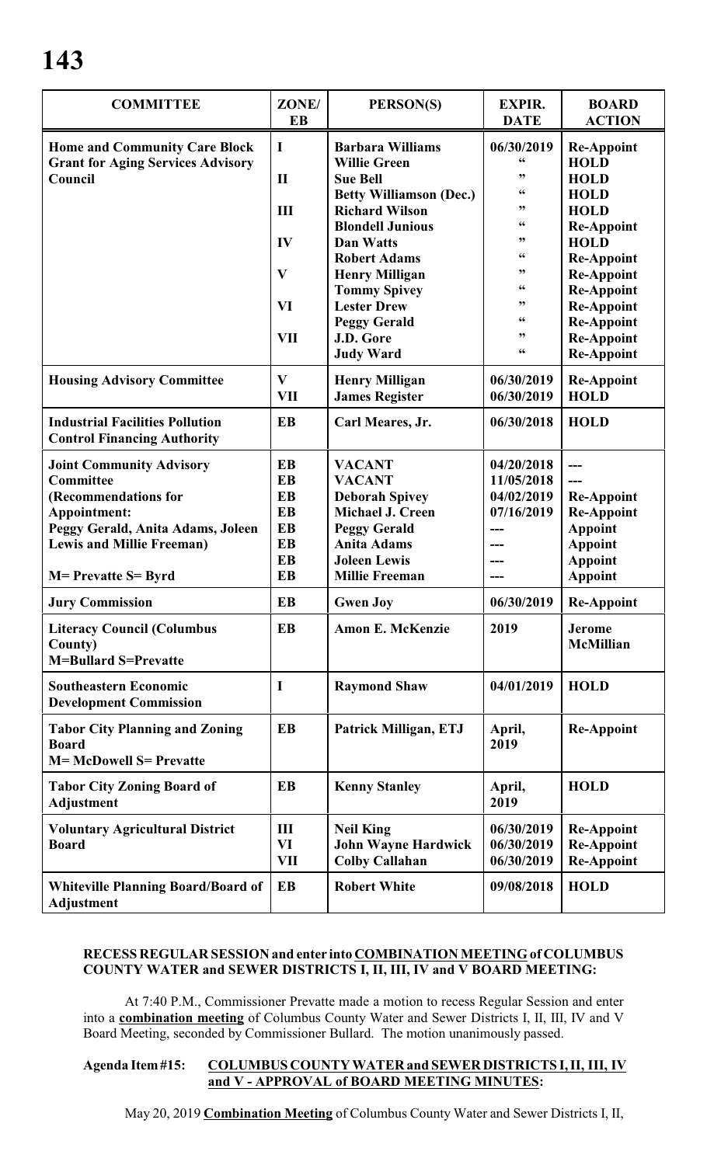# **143**

| <b>COMMITTEE</b>                                                                 | ZONE/<br>EB  | PERSON(S)                                               | <b>EXPIR.</b><br><b>DATE</b> | <b>BOARD</b><br><b>ACTION</b>          |
|----------------------------------------------------------------------------------|--------------|---------------------------------------------------------|------------------------------|----------------------------------------|
| <b>Home and Community Care Block</b><br><b>Grant for Aging Services Advisory</b> | $\mathbf I$  | <b>Barbara Williams</b><br><b>Willie Green</b>          | 06/30/2019<br>66             | <b>Re-Appoint</b><br><b>HOLD</b>       |
| Council                                                                          | $\mathbf{I}$ | <b>Sue Bell</b>                                         | ,,                           | <b>HOLD</b>                            |
|                                                                                  | III          | <b>Betty Williamson (Dec.)</b><br><b>Richard Wilson</b> | 66<br>"                      | <b>HOLD</b><br><b>HOLD</b>             |
|                                                                                  |              | <b>Blondell Junious</b>                                 | 66                           | <b>Re-Appoint</b>                      |
|                                                                                  | IV           | <b>Dan Watts</b><br><b>Robert Adams</b>                 | ,,<br>66                     | <b>HOLD</b><br><b>Re-Appoint</b>       |
|                                                                                  | $\mathbf{V}$ | <b>Henry Milligan</b>                                   | ,,                           | <b>Re-Appoint</b>                      |
|                                                                                  |              | <b>Tommy Spivey</b>                                     | 66                           | <b>Re-Appoint</b>                      |
|                                                                                  | VI           | <b>Lester Drew</b>                                      | "<br>66                      | <b>Re-Appoint</b>                      |
|                                                                                  | <b>VII</b>   | <b>Peggy Gerald</b><br>J.D. Gore                        | ,,                           | <b>Re-Appoint</b><br><b>Re-Appoint</b> |
|                                                                                  |              | <b>Judy Ward</b>                                        | 66                           | <b>Re-Appoint</b>                      |
| <b>Housing Advisory Committee</b>                                                | $\mathbf{V}$ | <b>Henry Milligan</b>                                   | 06/30/2019                   | <b>Re-Appoint</b>                      |
|                                                                                  | <b>VII</b>   | <b>James Register</b>                                   | 06/30/2019                   | <b>HOLD</b>                            |
| <b>Industrial Facilities Pollution</b>                                           | <b>EB</b>    | Carl Meares, Jr.                                        | 06/30/2018                   | <b>HOLD</b>                            |
| <b>Control Financing Authority</b>                                               |              |                                                         |                              |                                        |
| <b>Joint Community Advisory</b>                                                  | <b>EB</b>    | <b>VACANT</b>                                           | 04/20/2018                   | ---                                    |
| <b>Committee</b>                                                                 | <b>EB</b>    | <b>VACANT</b>                                           | 11/05/2018                   |                                        |
| (Recommendations for                                                             | <b>EB</b>    | <b>Deborah Spivey</b>                                   | 04/02/2019                   | <b>Re-Appoint</b>                      |
| Appointment:                                                                     | <b>EB</b>    | <b>Michael J. Creen</b>                                 | 07/16/2019                   | <b>Re-Appoint</b>                      |
| Peggy Gerald, Anita Adams, Joleen                                                | <b>EB</b>    | <b>Peggy Gerald</b>                                     | ---                          | <b>Appoint</b>                         |
| <b>Lewis and Millie Freeman)</b>                                                 | <b>EB</b>    | <b>Anita Adams</b>                                      |                              | <b>Appoint</b>                         |
|                                                                                  | <b>EB</b>    | <b>Joleen Lewis</b>                                     |                              | <b>Appoint</b>                         |
| M = Prevatte S = Byrd                                                            | <b>EB</b>    | <b>Millie Freeman</b>                                   | ---                          | <b>Appoint</b>                         |
| <b>Jury Commission</b>                                                           | EB           | <b>Gwen Joy</b>                                         | 06/30/2019                   | <b>Re-Appoint</b>                      |
| <b>Literacy Council (Columbus</b>                                                | <b>EB</b>    | Amon E. McKenzie                                        | 2019                         | <b>Jerome</b>                          |
| County)                                                                          |              |                                                         |                              | <b>McMillian</b>                       |
| <b>M=Bullard S=Prevatte</b>                                                      |              |                                                         |                              |                                        |
| <b>Southeastern Economic</b><br><b>Development Commission</b>                    | I            | <b>Raymond Shaw</b>                                     | 04/01/2019                   | <b>HOLD</b>                            |
| <b>Tabor City Planning and Zoning</b><br><b>Board</b>                            | EB           | Patrick Milligan, ETJ                                   | April,<br>2019               | <b>Re-Appoint</b>                      |
| <b>M= McDowell S= Prevatte</b>                                                   |              |                                                         |                              |                                        |
| <b>Tabor City Zoning Board of</b><br>Adjustment                                  | <b>EB</b>    | <b>Kenny Stanley</b>                                    | April,<br>2019               | <b>HOLD</b>                            |
| <b>Voluntary Agricultural District</b>                                           | III          | <b>Neil King</b>                                        | 06/30/2019                   | <b>Re-Appoint</b>                      |
| <b>Board</b>                                                                     | VI           | <b>John Wayne Hardwick</b>                              | 06/30/2019                   | <b>Re-Appoint</b>                      |
|                                                                                  | <b>VII</b>   | <b>Colby Callahan</b>                                   | 06/30/2019                   | <b>Re-Appoint</b>                      |
| <b>Whiteville Planning Board/Board of</b><br><b>Adjustment</b>                   | <b>EB</b>    | <b>Robert White</b>                                     | 09/08/2018                   | <b>HOLD</b>                            |

# **RECESS REGULAR SESSION and enter into COMBINATION MEETING of COLUMBUS COUNTY WATER and SEWER DISTRICTS I, II, III, IV and V BOARD MEETING:**

At 7:40 P.M., Commissioner Prevatte made a motion to recess Regular Session and enter into a **combination meeting** of Columbus County Water and Sewer Districts I, II, III, IV and V Board Meeting, seconded by Commissioner Bullard. The motion unanimously passed.

# **Agenda Item #15: COLUMBUS COUNTY WATER and SEWER DISTRICTS I, II, III, IV and V - APPROVAL of BOARD MEETING MINUTES:**

May 20, 2019 **Combination Meeting** of Columbus County Water and Sewer Districts I, II,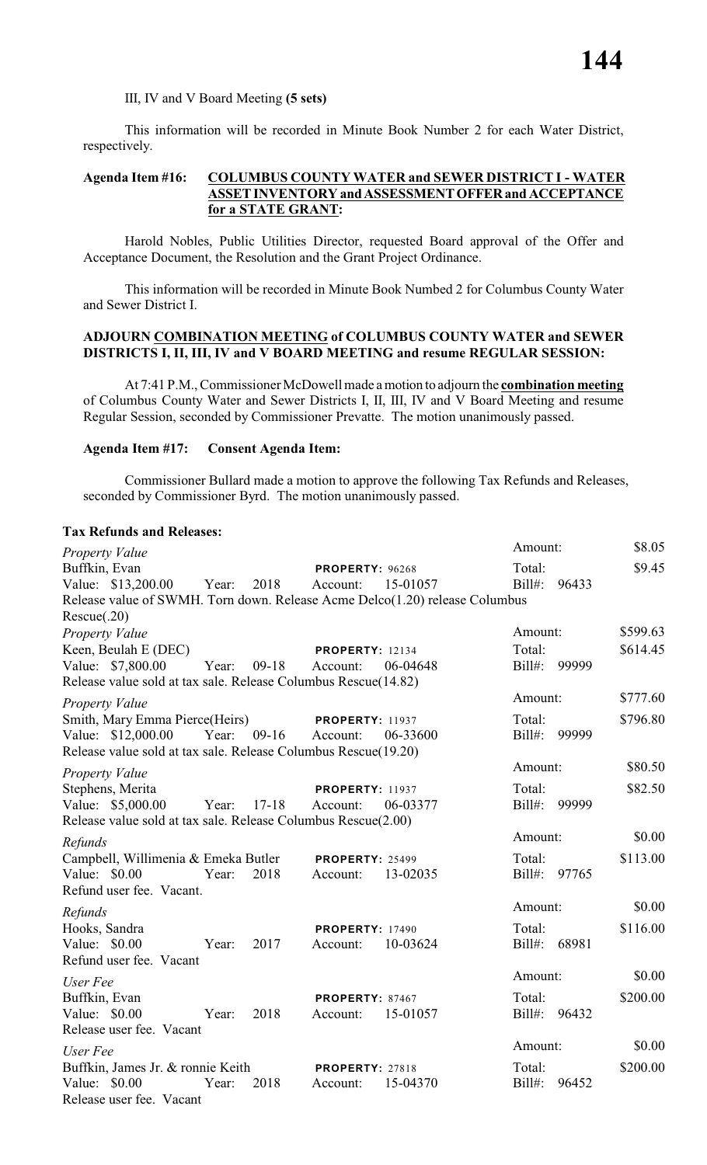III, IV and V Board Meeting **(5 sets)**

This information will be recorded in Minute Book Number 2 for each Water District, respectively.

#### **Agenda Item #16: COLUMBUS COUNTY WATER and SEWER DISTRICT I - WATER ASSET INVENTORY and ASSESSMENT OFFER and ACCEPTANCE for a STATE GRANT:**

Harold Nobles, Public Utilities Director, requested Board approval of the Offer and Acceptance Document, the Resolution and the Grant Project Ordinance.

This information will be recorded in Minute Book Numbed 2 for Columbus County Water and Sewer District I.

# **ADJOURN COMBINATION MEETING of COLUMBUS COUNTY WATER and SEWER DISTRICTS I, II, III, IV and V BOARD MEETING and resume REGULAR SESSION:**

At 7:41 P.M., Commissioner McDowell made a motion to adjourn the **combination meeting** of Columbus County Water and Sewer Districts I, II, III, IV and V Board Meeting and resume Regular Session, seconded by Commissioner Prevatte. The motion unanimously passed.

#### **Agenda Item #17: Consent Agenda Item:**

Commissioner Bullard made a motion to approve the following Tax Refunds and Releases, seconded by Commissioner Byrd. The motion unanimously passed.

| <b>Tax Refunds and Releases:</b> |  |  |
|----------------------------------|--|--|
|----------------------------------|--|--|

| <b>Property Value</b>                                                       |                        | Amount:            | \$8.05   |
|-----------------------------------------------------------------------------|------------------------|--------------------|----------|
| Buffkin, Evan                                                               | PROPERTY: 96268        | Total:             | \$9.45   |
| Value: \$13,200.00<br>2018<br>Year:                                         | 15-01057<br>Account:   | $Bill#$ :<br>96433 |          |
| Release value of SWMH. Torn down. Release Acme Delco(1.20) release Columbus |                        |                    |          |
| Rescue(.20)                                                                 |                        |                    |          |
| Property Value                                                              |                        | Amount:            | \$599.63 |
| Keen, Beulah E (DEC)                                                        | <b>PROPERTY: 12134</b> | Total:             | \$614.45 |
| Value: \$7,800.00<br>$09-18$<br>Year:                                       | Account:<br>06-04648   | $Bill#$ :<br>99999 |          |
| Release value sold at tax sale. Release Columbus Rescue(14.82)              |                        |                    |          |
| <b>Property Value</b>                                                       |                        | Amount:            | \$777.60 |
| Smith, Mary Emma Pierce(Heirs)                                              | <b>PROPERTY: 11937</b> | Total:             | \$796.80 |
| Value: \$12,000.00<br>Year: 09-16                                           | 06-33600<br>Account:   | $Bill#$ :<br>99999 |          |
| Release value sold at tax sale. Release Columbus Rescue(19.20)              |                        |                    |          |
| <b>Property Value</b>                                                       |                        | Amount:            | \$80.50  |
| Stephens, Merita                                                            | <b>PROPERTY: 11937</b> | Total:             | \$82.50  |
| Value: \$5,000.00<br>$17 - 18$<br>Year:                                     | 06-03377<br>Account:   | $Bill#$ :<br>99999 |          |
| Release value sold at tax sale. Release Columbus Rescue(2.00)               |                        |                    |          |
| Refunds                                                                     |                        | Amount:            | \$0.00   |
| Campbell, Willimenia & Emeka Butler                                         | <b>PROPERTY: 25499</b> | Total:             | \$113.00 |
| Value: \$0.00<br>Year:<br>2018                                              | Account:<br>13-02035   | $Bill#$ :<br>97765 |          |
| Refund user fee. Vacant.                                                    |                        |                    |          |
| Refunds                                                                     |                        | Amount:            | \$0.00   |
| Hooks, Sandra                                                               | <b>PROPERTY: 17490</b> | Total:             | \$116.00 |
| Value: \$0.00<br>2017<br>Year:                                              | 10-03624<br>Account:   | $Bill#$ :<br>68981 |          |
| Refund user fee. Vacant                                                     |                        |                    |          |
| User Fee                                                                    |                        | Amount:            | \$0.00   |
| Buffkin, Evan                                                               | PROPERTY: 87467        | Total:             | \$200.00 |
| Value: \$0.00<br>2018<br>Year:                                              | 15-01057<br>Account:   | Bill#: 96432       |          |
| Release user fee. Vacant                                                    |                        |                    |          |
| User Fee                                                                    |                        | Amount:            | \$0.00   |
| Buffkin, James Jr. & ronnie Keith                                           | <b>PROPERTY: 27818</b> | Total:             | \$200.00 |
| Value: \$0.00<br>2018<br>Year:                                              | 15-04370<br>Account:   | $Bill#$ :<br>96452 |          |
| Release user fee. Vacant                                                    |                        |                    |          |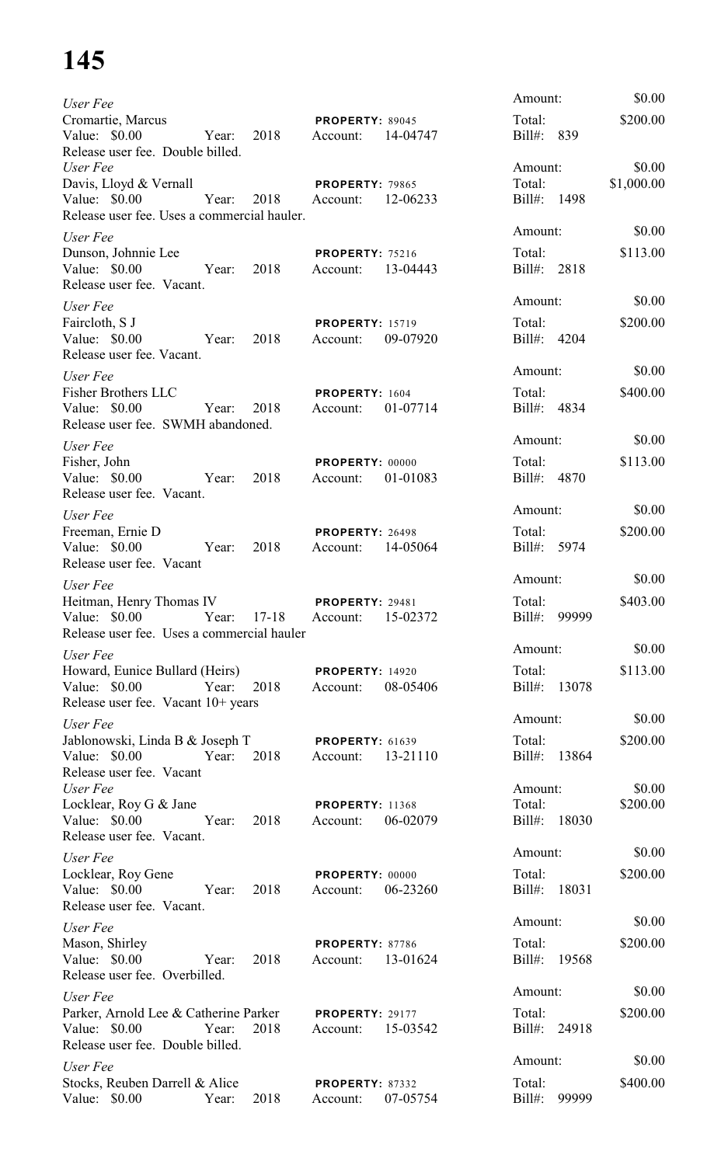# **145**

| User Fee                                                                                                                 |                                                | Amount:                                       | \$0.00               |
|--------------------------------------------------------------------------------------------------------------------------|------------------------------------------------|-----------------------------------------------|----------------------|
| Cromartie, Marcus<br>Value: \$0.00<br>2018<br>Year:<br>Release user fee. Double billed.                                  | PROPERTY: 89045<br>14-04747<br>Account:        | Total:<br>Bill#: 839                          | \$200.00             |
| User Fee<br>Davis, Lloyd & Vernall<br>Value: \$0.00<br>Year: 2018<br>Release user fee. Uses a commercial hauler.         | <b>PROPERTY: 79865</b><br>12-06233<br>Account: | Amount:<br>Total:<br>Bill#: 1498              | \$0.00<br>\$1,000.00 |
| User Fee<br>Dunson, Johnnie Lee<br>Value: \$0.00<br>Year: 2018<br>Release user fee. Vacant.                              | <b>PROPERTY: 75216</b><br>13-04443<br>Account: | Amount:<br>Total:<br>Bill#: 2818              | \$0.00<br>\$113.00   |
| User Fee<br>Faircloth, S J<br>Year: 2018<br>Value: \$0.00<br>Release user fee. Vacant.                                   | <b>PROPERTY: 15719</b><br>09-07920<br>Account: | Amount:<br>Total:<br>Bill#: 4204              | \$0.00<br>\$200.00   |
| User Fee<br>Fisher Brothers LLC<br>Value: \$0.00<br>Year: 2018<br>Release user fee. SWMH abandoned.                      | PROPERTY: 1604<br>01-07714<br>Account:         | Amount:<br>Total:<br>Bill#: 4834              | \$0.00<br>\$400.00   |
| User Fee<br>Fisher, John<br>Value: \$0.00 Year:<br>2018<br>Release user fee. Vacant.                                     | PROPERTY: 00000<br>01-01083<br>Account:        | Amount:<br>Total:<br>Bill#: 4870              | \$0.00<br>\$113.00   |
| User Fee<br>Freeman, Ernie D<br>Value: \$0.00 Year: 2018<br>Release user fee. Vacant                                     | PROPERTY: 26498<br>Account: 14-05064           | Amount:<br>Total:<br>Bill#: 5974              | \$0.00<br>\$200.00   |
| User Fee<br>Heitman, Henry Thomas IV<br>Value: \$0.00<br>$17-18$<br>Year:<br>Release user fee. Uses a commercial hauler  | <b>PROPERTY: 29481</b><br>15-02372<br>Account: | Amount:<br>Total:<br>99999<br>$Bill#$ :       | \$0.00<br>\$403.00   |
| User Fee<br>Howard, Eunice Bullard (Heirs)<br>Value: \$0.00 Year:<br>2018<br>Release user fee. Vacant 10+ years          | <b>PROPERTY: 14920</b><br>08-05406<br>Account: | Amount:<br>Total:<br>Bill#: 13078             | \$0.00<br>\$113.00   |
| User Fee<br>Jablonowski, Linda B & Joseph T<br>Value: \$0.00 Year:<br>2018<br>Release user fee. Vacant                   | <b>PROPERTY: 61639</b><br>13-21110<br>Account: | Amount:<br>Total:<br>Bill#: 13864             | \$0.00<br>\$200.00   |
| User Fee<br>Locklear, Roy G & Jane<br>Value: \$0.00<br>Year:<br>2018<br>Release user fee. Vacant.                        | <b>PROPERTY: 11368</b><br>06-02079<br>Account: | Amount:<br>Total:<br>Bill#: 18030             | \$0.00<br>\$200.00   |
| User Fee<br>Locklear, Roy Gene<br>Value: $$0.00$<br>Year:<br>2018<br>Release user fee. Vacant.                           | PROPERTY: 00000<br>06-23260<br>Account:        | Amount:<br>Total:<br>Bill#: 18031             | \$0.00<br>\$200.00   |
| User Fee<br>Mason, Shirley<br>Value: \$0.00<br>Year:<br>2018<br>Release user fee. Overbilled.                            | PROPERTY: 87786<br>13-01624<br>Account:        | Amount:<br>Total:<br>Bill#: 19568             | \$0.00<br>\$200.00   |
| User Fee<br>Parker, Arnold Lee & Catherine Parker<br>Value: $$0.00$<br>2018<br>Year:<br>Release user fee. Double billed. | <b>PROPERTY: 29177</b><br>15-03542<br>Account: | Amount:<br>Total:<br>Bill#: 24918             | \$0.00<br>\$200.00   |
| User Fee<br>Stocks, Reuben Darrell & Alice<br>Value: $$0.00$<br>2018<br>Year:                                            | PROPERTY: 87332<br>Account:<br>07-05754        | Amount:<br>Total:<br>$\text{Bill}$ :<br>99999 | \$0.00<br>\$400.00   |
|                                                                                                                          |                                                |                                               |                      |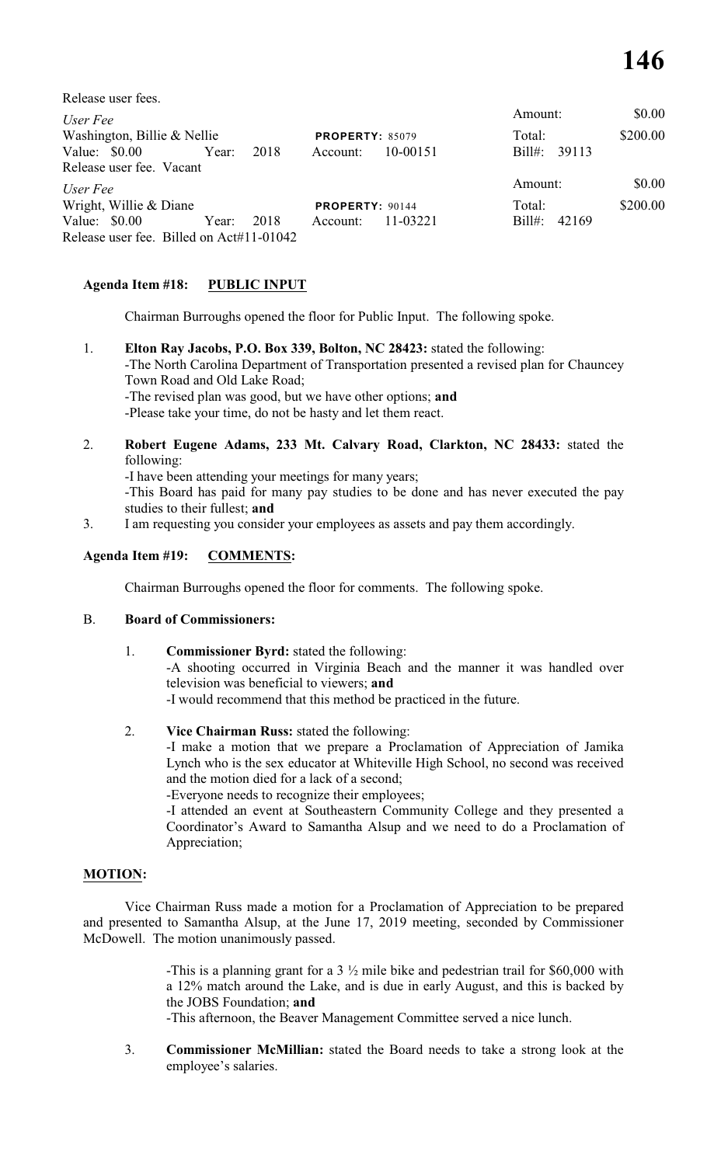| Release user fees.                       |       |      |                        |          |                    |          |
|------------------------------------------|-------|------|------------------------|----------|--------------------|----------|
| User Fee                                 |       |      |                        |          | Amount:            | \$0.00   |
| Washington, Billie & Nellie              |       |      | <b>PROPERTY: 85079</b> |          | Total:             | \$200.00 |
| Value: $$0.00$                           | Year: | 2018 | Account:               | 10-00151 | $Bill#$ :<br>39113 |          |
| Release user fee. Vacant                 |       |      |                        |          |                    |          |
| User Fee                                 |       |      |                        |          | Amount:            | \$0.00   |
| Wright, Willie & Diane                   |       |      | PROPERTY: 90144        |          | Total:             | \$200.00 |
| Value: $$0.00$                           | Year: | 2018 | Account:               | 11-03221 | $Bill#$ :<br>42169 |          |
| Release user fee. Billed on Act#11-01042 |       |      |                        |          |                    |          |
|                                          |       |      |                        |          |                    |          |

# **Agenda Item #18: PUBLIC INPUT**

Chairman Burroughs opened the floor for Public Input. The following spoke.

- 1. **Elton Ray Jacobs, P.O. Box 339, Bolton, NC 28423:** stated the following: -The North Carolina Department of Transportation presented a revised plan for Chauncey Town Road and Old Lake Road; -The revised plan was good, but we have other options; **and** -Please take your time, do not be hasty and let them react.
- 2. **Robert Eugene Adams, 233 Mt. Calvary Road, Clarkton, NC 28433:** stated the following:

-I have been attending your meetings for many years; -This Board has paid for many pay studies to be done and has never executed the pay studies to their fullest; **and**

3. I am requesting you consider your employees as assets and pay them accordingly.

# **Agenda Item #19: COMMENTS:**

Chairman Burroughs opened the floor for comments. The following spoke.

# B. **Board of Commissioners:**

- 1. **Commissioner Byrd:** stated the following: -A shooting occurred in Virginia Beach and the manner it was handled over television was beneficial to viewers; **and** -I would recommend that this method be practiced in the future.
- 2. **Vice Chairman Russ:** stated the following: -I make a motion that we prepare a Proclamation of Appreciation of Jamika Lynch who is the sex educator at Whiteville High School, no second was received and the motion died for a lack of a second;

-Everyone needs to recognize their employees;

-I attended an event at Southeastern Community College and they presented a Coordinator's Award to Samantha Alsup and we need to do a Proclamation of Appreciation;

# **MOTION:**

Vice Chairman Russ made a motion for a Proclamation of Appreciation to be prepared and presented to Samantha Alsup, at the June 17, 2019 meeting, seconded by Commissioner McDowell. The motion unanimously passed.

> -This is a planning grant for a 3 ½ mile bike and pedestrian trail for \$60,000 with a 12% match around the Lake, and is due in early August, and this is backed by the JOBS Foundation; **and**

-This afternoon, the Beaver Management Committee served a nice lunch.

3. **Commissioner McMillian:** stated the Board needs to take a strong look at the employee's salaries.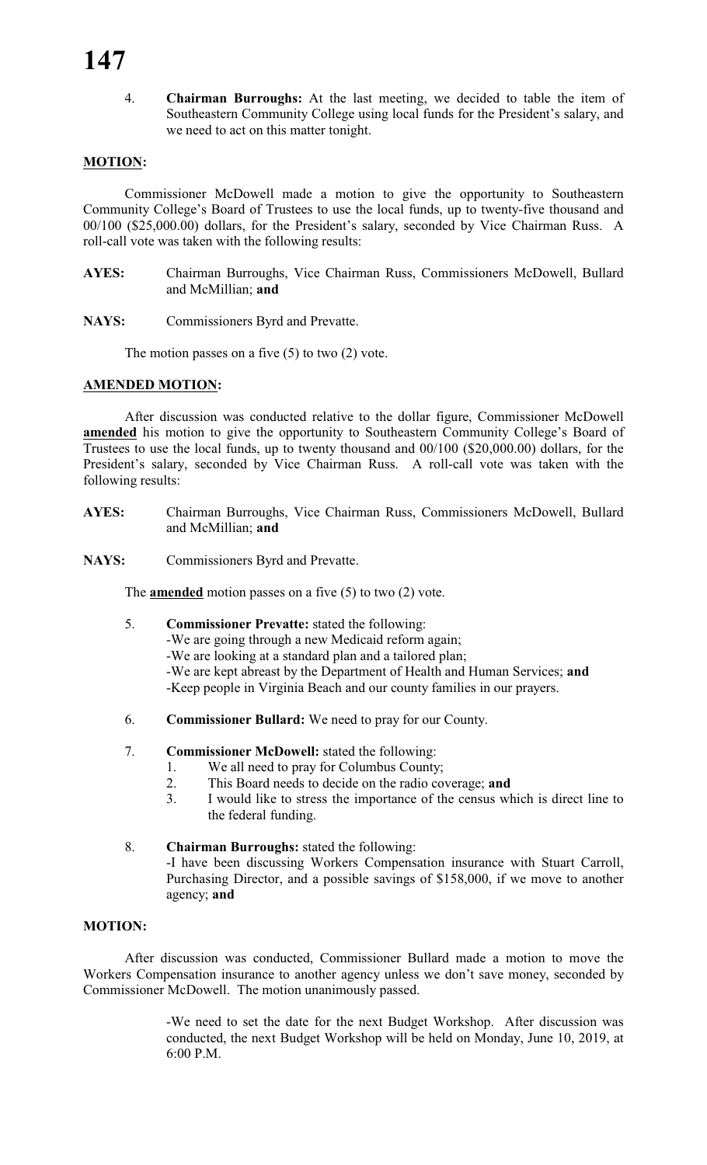# **147**

4. **Chairman Burroughs:** At the last meeting, we decided to table the item of Southeastern Community College using local funds for the President's salary, and we need to act on this matter tonight.

# **MOTION:**

Commissioner McDowell made a motion to give the opportunity to Southeastern Community College's Board of Trustees to use the local funds, up to twenty-five thousand and 00/100 (\$25,000.00) dollars, for the President's salary, seconded by Vice Chairman Russ. A roll-call vote was taken with the following results:

- **AYES:** Chairman Burroughs, Vice Chairman Russ, Commissioners McDowell, Bullard and McMillian; **and**
- **NAYS:** Commissioners Byrd and Prevatte.

The motion passes on a five  $(5)$  to two  $(2)$  vote.

# **AMENDED MOTION:**

After discussion was conducted relative to the dollar figure, Commissioner McDowell **amended** his motion to give the opportunity to Southeastern Community College's Board of Trustees to use the local funds, up to twenty thousand and 00/100 (\$20,000.00) dollars, for the President's salary, seconded by Vice Chairman Russ. A roll-call vote was taken with the following results:

- **AYES:** Chairman Burroughs, Vice Chairman Russ, Commissioners McDowell, Bullard and McMillian; **and**
- **NAYS:** Commissioners Byrd and Prevatte.

The **amended** motion passes on a five (5) to two (2) vote.

- 5. **Commissioner Prevatte:** stated the following: -We are going through a new Medicaid reform again; -We are looking at a standard plan and a tailored plan; -We are kept abreast by the Department of Health and Human Services; **and** -Keep people in Virginia Beach and our county families in our prayers.
- 6. **Commissioner Bullard:** We need to pray for our County.
- 7. **Commissioner McDowell:** stated the following:
	- 1. We all need to pray for Columbus County;
	- 2. This Board needs to decide on the radio coverage; **and**
	- 3. I would like to stress the importance of the census which is direct line to the federal funding.
- 8. **Chairman Burroughs:** stated the following:

-I have been discussing Workers Compensation insurance with Stuart Carroll, Purchasing Director, and a possible savings of \$158,000, if we move to another agency; **and**

# **MOTION:**

After discussion was conducted, Commissioner Bullard made a motion to move the Workers Compensation insurance to another agency unless we don't save money, seconded by Commissioner McDowell. The motion unanimously passed.

> -We need to set the date for the next Budget Workshop. After discussion was conducted, the next Budget Workshop will be held on Monday, June 10, 2019, at 6:00 P.M.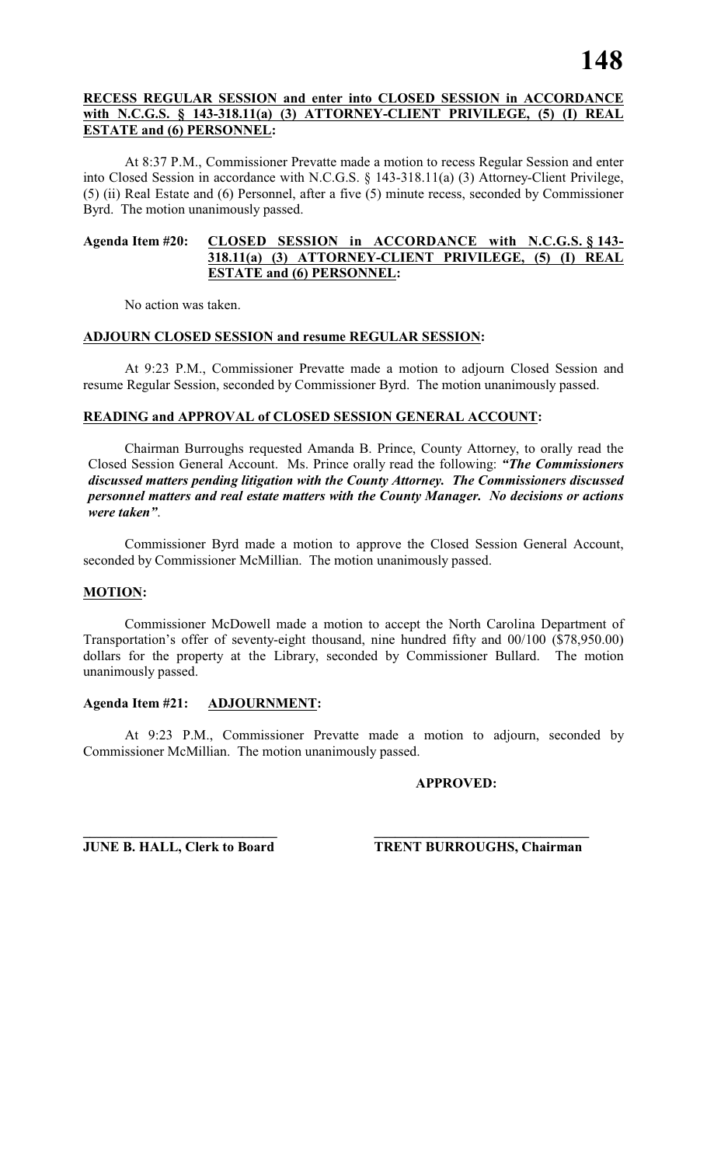# **RECESS REGULAR SESSION and enter into CLOSED SESSION in ACCORDANCE with N.C.G.S. § 143-318.11(a) (3) ATTORNEY-CLIENT PRIVILEGE, (5) (I) REAL ESTATE and (6) PERSONNEL:**

At 8:37 P.M., Commissioner Prevatte made a motion to recess Regular Session and enter into Closed Session in accordance with N.C.G.S. § 143-318.11(a) (3) Attorney-Client Privilege, (5) (ii) Real Estate and (6) Personnel, after a five (5) minute recess, seconded by Commissioner Byrd. The motion unanimously passed.

## **Agenda Item #20: CLOSED SESSION in ACCORDANCE with N.C.G.S. § 143- 318.11(a) (3) ATTORNEY-CLIENT PRIVILEGE, (5) (I) REAL ESTATE and (6) PERSONNEL:**

No action was taken.

# **ADJOURN CLOSED SESSION and resume REGULAR SESSION:**

At 9:23 P.M., Commissioner Prevatte made a motion to adjourn Closed Session and resume Regular Session, seconded by Commissioner Byrd. The motion unanimously passed.

# **READING and APPROVAL of CLOSED SESSION GENERAL ACCOUNT:**

Chairman Burroughs requested Amanda B. Prince, County Attorney, to orally read the Closed Session General Account. Ms. Prince orally read the following: *"The Commissioners discussed matters pending litigation with the County Attorney. The Commissioners discussed personnel matters and real estate matters with the County Manager. No decisions or actions were taken"*.

Commissioner Byrd made a motion to approve the Closed Session General Account, seconded by Commissioner McMillian. The motion unanimously passed.

# **MOTION:**

Commissioner McDowell made a motion to accept the North Carolina Department of Transportation's offer of seventy-eight thousand, nine hundred fifty and 00/100 (\$78,950.00) dollars for the property at the Library, seconded by Commissioner Bullard. The motion unanimously passed.

# **Agenda Item #21: ADJOURNMENT:**

At 9:23 P.M., Commissioner Prevatte made a motion to adjourn, seconded by Commissioner McMillian. The motion unanimously passed.

# **APPROVED:**

**\_\_\_\_\_\_\_\_\_\_\_\_\_\_\_\_\_\_\_\_\_\_\_\_\_\_\_\_ \_\_\_\_\_\_\_\_\_\_\_\_\_\_\_\_\_\_\_\_\_\_\_\_\_\_\_\_\_\_\_ JUNE B. HALL, Clerk to Board TRENT BURROUGHS, Chairman**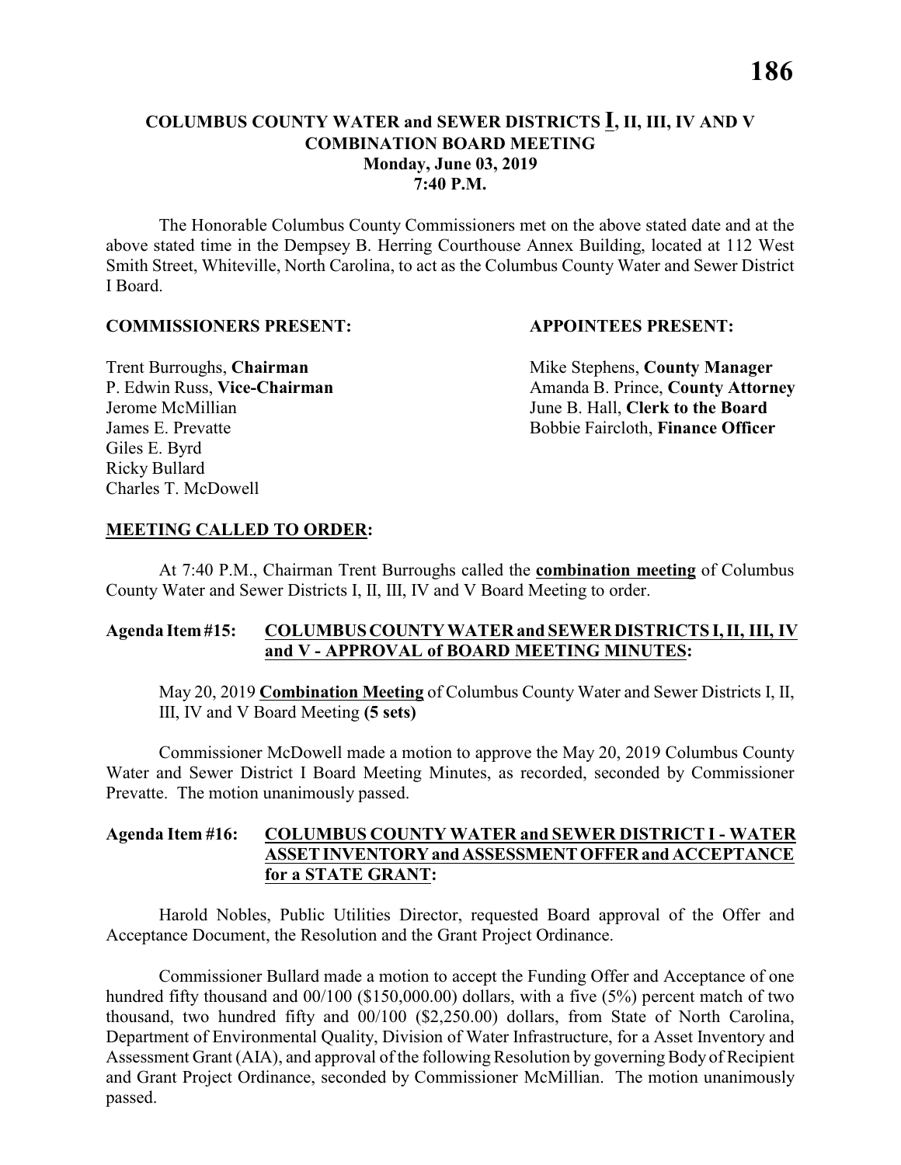# **COLUMBUS COUNTY WATER and SEWER DISTRICTS I, II, III, IV AND V COMBINATION BOARD MEETING Monday, June 03, 2019 7:40 P.M.**

The Honorable Columbus County Commissioners met on the above stated date and at the above stated time in the Dempsey B. Herring Courthouse Annex Building, located at 112 West Smith Street, Whiteville, North Carolina, to act as the Columbus County Water and Sewer District I Board.

#### **COMMISSIONERS PRESENT: APPOINTEES PRESENT:**

Giles E. Byrd Ricky Bullard Charles T. McDowell

**Trent Burroughs, Chairman** Mike Stephens, **County Manager** P. Edwin Russ, Vice-Chairman Amanda B. Prince, County Attorney Jerome McMillian June B. Hall, **Clerk to the Board** James E. Prevatte Bobbie Faircloth, **Finance Officer**

# **MEETING CALLED TO ORDER:**

At 7:40 P.M., Chairman Trent Burroughs called the **combination meeting** of Columbus County Water and Sewer Districts I, II, III, IV and V Board Meeting to order.

# **Agenda Item #15: COLUMBUS COUNTY WATER and SEWER DISTRICTS I, II, III, IV and V - APPROVAL of BOARD MEETING MINUTES:**

May 20, 2019 **Combination Meeting** of Columbus County Water and Sewer Districts I, II, III, IV and V Board Meeting **(5 sets)**

Commissioner McDowell made a motion to approve the May 20, 2019 Columbus County Water and Sewer District I Board Meeting Minutes, as recorded, seconded by Commissioner Prevatte. The motion unanimously passed.

# **Agenda Item #16: COLUMBUS COUNTY WATER and SEWER DISTRICT I - WATER ASSET INVENTORY and ASSESSMENT OFFER and ACCEPTANCE for a STATE GRANT:**

Harold Nobles, Public Utilities Director, requested Board approval of the Offer and Acceptance Document, the Resolution and the Grant Project Ordinance.

Commissioner Bullard made a motion to accept the Funding Offer and Acceptance of one hundred fifty thousand and  $00/100$  (\$150,000.00) dollars, with a five (5%) percent match of two thousand, two hundred fifty and 00/100 (\$2,250.00) dollars, from State of North Carolina, Department of Environmental Quality, Division of Water Infrastructure, for a Asset Inventory and Assessment Grant (AIA), and approval of the following Resolution by governing Body of Recipient and Grant Project Ordinance, seconded by Commissioner McMillian. The motion unanimously passed.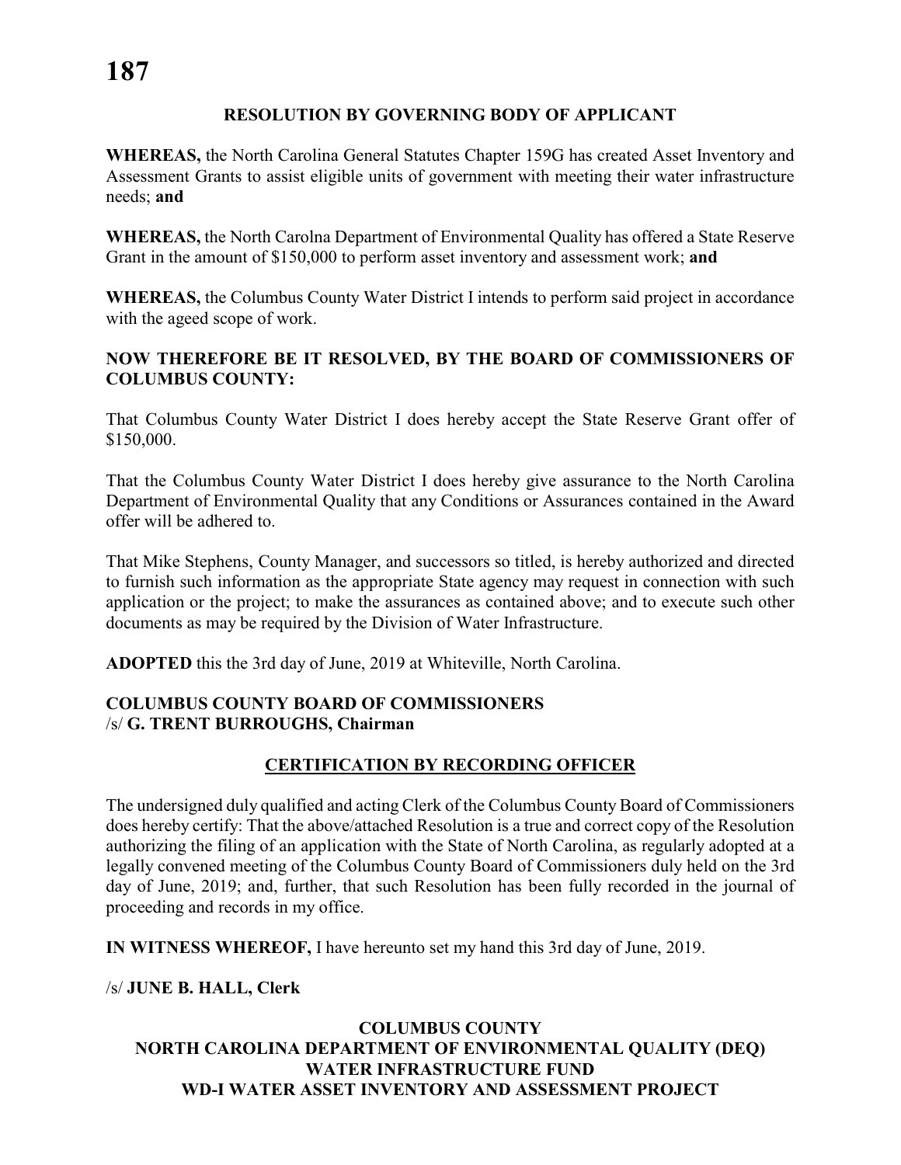#### **RESOLUTION BY GOVERNING BODY OF APPLICANT**

**WHEREAS,** the North Carolina General Statutes Chapter 159G has created Asset Inventory and Assessment Grants to assist eligible units of government with meeting their water infrastructure needs; **and**

**WHEREAS,** the North Carolna Department of Environmental Quality has offered a State Reserve Grant in the amount of \$150,000 to perform asset inventory and assessment work; **and**

**WHEREAS,** the Columbus County Water District I intends to perform said project in accordance with the ageed scope of work.

# **NOW THEREFORE BE IT RESOLVED, BY THE BOARD OF COMMISSIONERS OF COLUMBUS COUNTY:**

That Columbus County Water District I does hereby accept the State Reserve Grant offer of \$150,000.

That the Columbus County Water District I does hereby give assurance to the North Carolina Department of Environmental Quality that any Conditions or Assurances contained in the Award offer will be adhered to.

That Mike Stephens, County Manager, and successors so titled, is hereby authorized and directed to furnish such information as the appropriate State agency may request in connection with such application or the project; to make the assurances as contained above; and to execute such other documents as may be required by the Division of Water Infrastructure.

**ADOPTED** this the 3rd day of June, 2019 at Whiteville, North Carolina.

# **COLUMBUS COUNTY BOARD OF COMMISSIONERS** /s/ **G. TRENT BURROUGHS, Chairman**

# **CERTIFICATION BY RECORDING OFFICER**

The undersigned duly qualified and acting Clerk of the Columbus County Board of Commissioners does hereby certify: That the above/attached Resolution is a true and correct copy of the Resolution authorizing the filing of an application with the State of North Carolina, as regularly adopted at a legally convened meeting of the Columbus County Board of Commissioners duly held on the 3rd day of June, 2019; and, further, that such Resolution has been fully recorded in the journal of proceeding and records in my office.

**IN WITNESS WHEREOF,** I have hereunto set my hand this 3rd day of June, 2019.

# /s/ **JUNE B. HALL, Clerk**

# **COLUMBUS COUNTY NORTH CAROLINA DEPARTMENT OF ENVIRONMENTAL QUALITY (DEQ) WATER INFRASTRUCTURE FUND WD-I WATER ASSET INVENTORY AND ASSESSMENT PROJECT**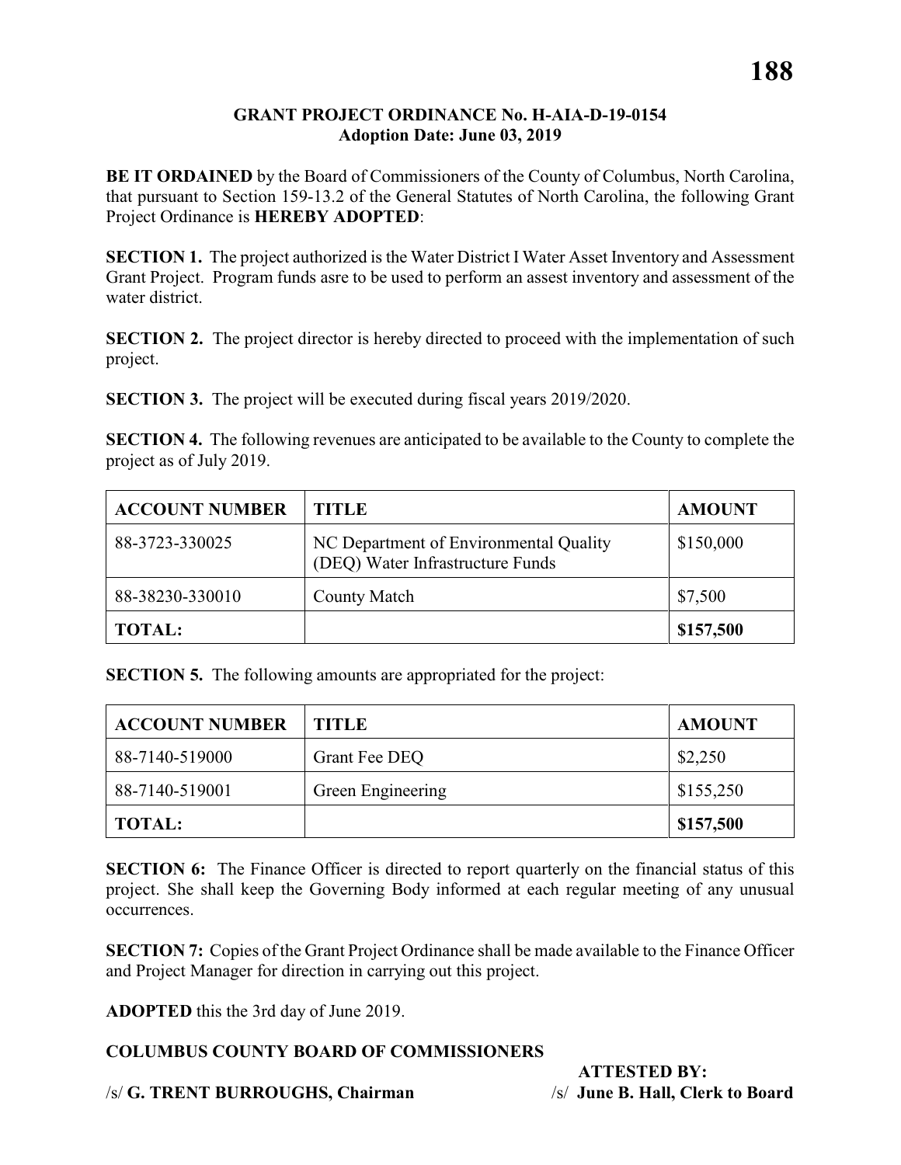## **GRANT PROJECT ORDINANCE No. H-AIA-D-19-0154 Adoption Date: June 03, 2019**

**BE IT ORDAINED** by the Board of Commissioners of the County of Columbus, North Carolina, that pursuant to Section 159-13.2 of the General Statutes of North Carolina, the following Grant Project Ordinance is **HEREBY ADOPTED**:

**SECTION 1.** The project authorized is the Water District I Water Asset Inventory and Assessment Grant Project. Program funds asre to be used to perform an assest inventory and assessment of the water district.

**SECTION 2.** The project director is hereby directed to proceed with the implementation of such project.

**SECTION 3.** The project will be executed during fiscal years 2019/2020.

**SECTION 4.** The following revenues are anticipated to be available to the County to complete the project as of July 2019.

| <b>ACCOUNT NUMBER</b> | <b>TITLE</b>                                                               | <b>AMOUNT</b> |
|-----------------------|----------------------------------------------------------------------------|---------------|
| 88-3723-330025        | NC Department of Environmental Quality<br>(DEQ) Water Infrastructure Funds | \$150,000     |
| 88-38230-330010       | <b>County Match</b>                                                        | \$7,500       |
| <b>TOTAL:</b>         |                                                                            | \$157,500     |

**SECTION 5.** The following amounts are appropriated for the project:

| <b>ACCOUNT NUMBER</b> | <b>TITLE</b>      | <b>AMOUNT</b> |
|-----------------------|-------------------|---------------|
| 88-7140-519000        | Grant Fee DEQ     | \$2,250       |
| 88-7140-519001        | Green Engineering | \$155,250     |
| <b>TOTAL:</b>         |                   | \$157,500     |

**SECTION 6:** The Finance Officer is directed to report quarterly on the financial status of this project. She shall keep the Governing Body informed at each regular meeting of any unusual occurrences.

**SECTION 7:** Copies of the Grant Project Ordinance shall be made available to the Finance Officer and Project Manager for direction in carrying out this project.

**ADOPTED** this the 3rd day of June 2019.

# **COLUMBUS COUNTY BOARD OF COMMISSIONERS**

 **ATTESTED BY:**

/s/ **G. TRENT BURROUGHS, Chairman** /s/ **June B. Hall, Clerk to Board**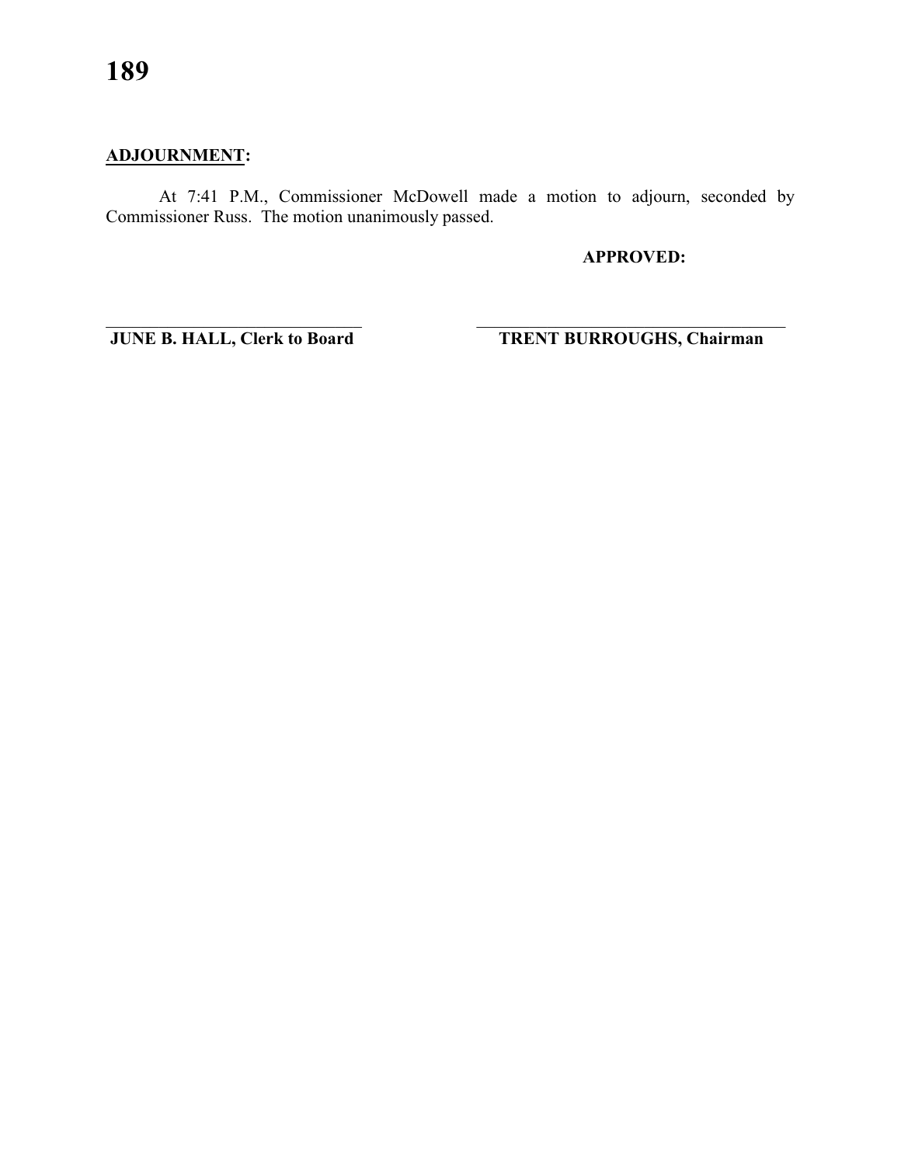# **ADJOURNMENT:**

At 7:41 P.M., Commissioner McDowell made a motion to adjourn, seconded by Commissioner Russ. The motion unanimously passed.

\_\_\_\_\_\_\_\_\_\_\_\_\_\_\_\_\_\_\_\_\_\_\_\_\_\_\_\_\_ \_\_\_\_\_\_\_\_\_\_\_\_\_\_\_\_\_\_\_\_\_\_\_\_\_\_\_\_\_\_\_\_\_\_\_

**APPROVED:**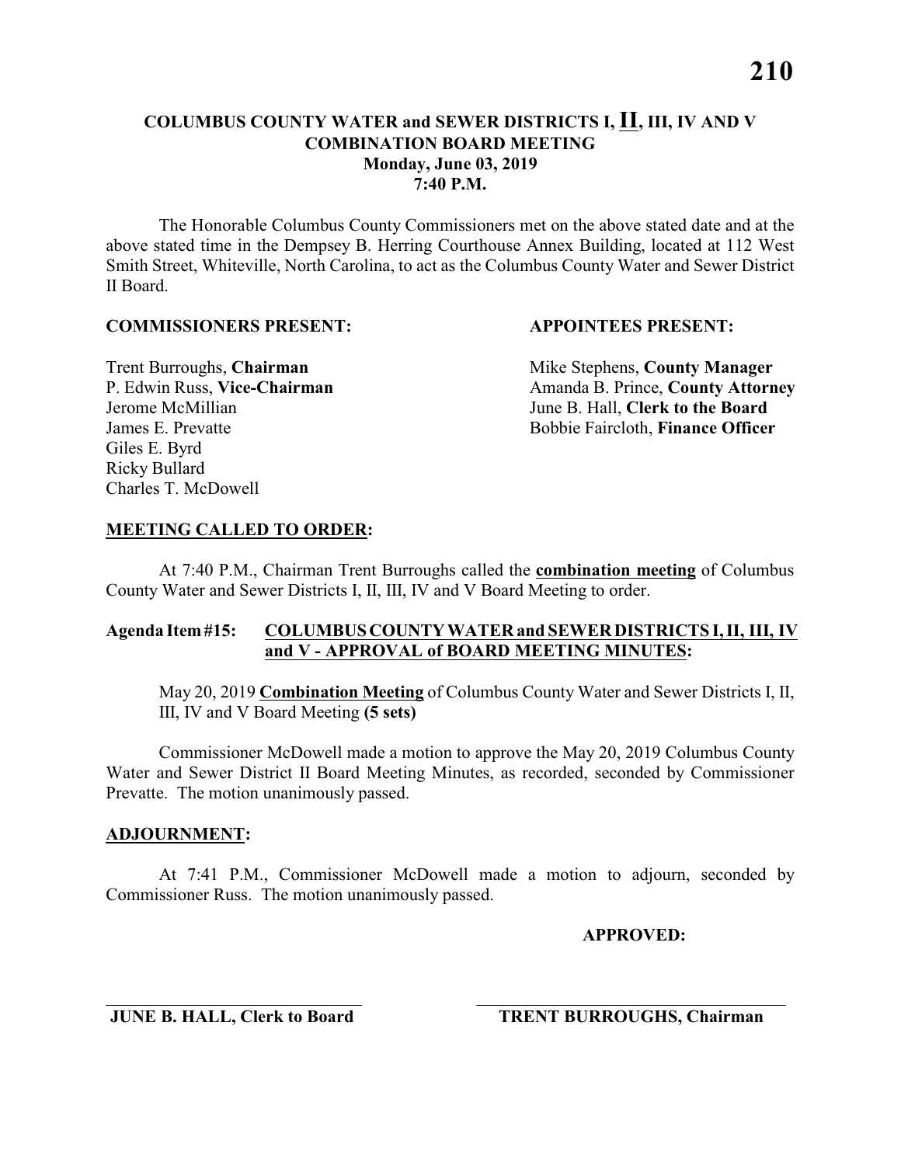# **COLUMBUS COUNTY WATER and SEWER DISTRICTS I, II, III, IV AND V COMBINATION BOARD MEETING Monday, June 03, 2019 7:40 P.M.**

The Honorable Columbus County Commissioners met on the above stated date and at the above stated time in the Dempsey B. Herring Courthouse Annex Building, located at 112 West Smith Street, Whiteville, North Carolina, to act as the Columbus County Water and Sewer District II Board.

#### **COMMISSIONERS PRESENT: APPOINTEES PRESENT:**

Giles E. Byrd Ricky Bullard Charles T. McDowell

**Trent Burroughs, Chairman** Mike Stephens, **County Manager** P. Edwin Russ, Vice-Chairman Amanda B. Prince, County Attorney Jerome McMillian June B. Hall, **Clerk to the Board** James E. Prevatte Bobbie Faircloth, **Finance Officer**

# **MEETING CALLED TO ORDER:**

At 7:40 P.M., Chairman Trent Burroughs called the **combination meeting** of Columbus County Water and Sewer Districts I, II, III, IV and V Board Meeting to order.

# **Agenda Item #15: COLUMBUS COUNTY WATER and SEWER DISTRICTS I, II, III, IV and V - APPROVAL of BOARD MEETING MINUTES:**

May 20, 2019 **Combination Meeting** of Columbus County Water and Sewer Districts I, II, III, IV and V Board Meeting **(5 sets)**

Commissioner McDowell made a motion to approve the May 20, 2019 Columbus County Water and Sewer District II Board Meeting Minutes, as recorded, seconded by Commissioner Prevatte. The motion unanimously passed.

# **ADJOURNMENT:**

At 7:41 P.M., Commissioner McDowell made a motion to adjourn, seconded by Commissioner Russ. The motion unanimously passed.

\_\_\_\_\_\_\_\_\_\_\_\_\_\_\_\_\_\_\_\_\_\_\_\_\_\_\_\_\_ \_\_\_\_\_\_\_\_\_\_\_\_\_\_\_\_\_\_\_\_\_\_\_\_\_\_\_\_\_\_\_\_\_\_\_

**APPROVED:**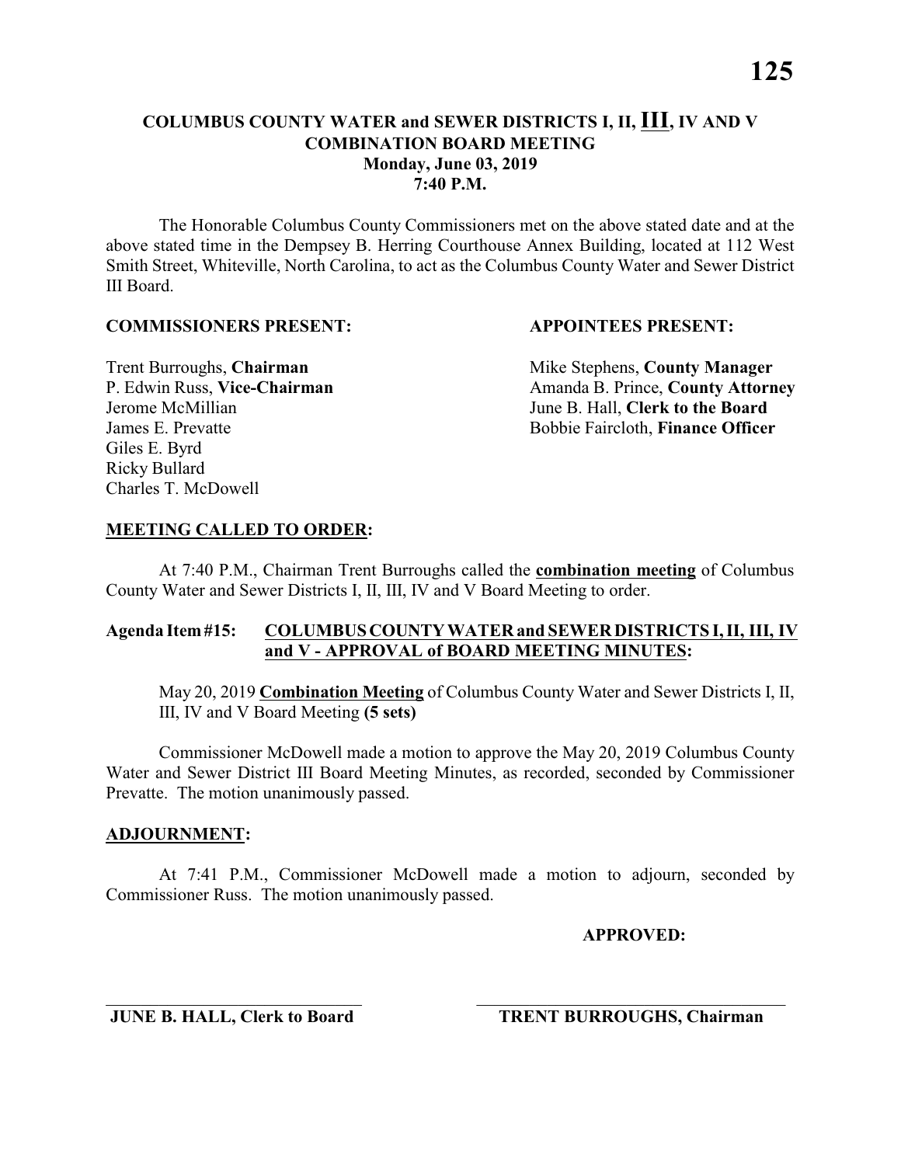The Honorable Columbus County Commissioners met on the above stated date and at the above stated time in the Dempsey B. Herring Courthouse Annex Building, located at 112 West Smith Street, Whiteville, North Carolina, to act as the Columbus County Water and Sewer District III Board.

#### **COMMISSIONERS PRESENT: APPOINTEES PRESENT:**

Giles E. Byrd Ricky Bullard Charles T. McDowell

**Trent Burroughs, Chairman** Mike Stephens, **County Manager** P. Edwin Russ, Vice-Chairman Amanda B. Prince, County Attorney Jerome McMillian June B. Hall, **Clerk to the Board** James E. Prevatte Bobbie Faircloth, **Finance Officer**

# **MEETING CALLED TO ORDER:**

At 7:40 P.M., Chairman Trent Burroughs called the **combination meeting** of Columbus County Water and Sewer Districts I, II, III, IV and V Board Meeting to order.

# **Agenda Item #15: COLUMBUS COUNTY WATER and SEWER DISTRICTS I, II, III, IV and V - APPROVAL of BOARD MEETING MINUTES:**

May 20, 2019 **Combination Meeting** of Columbus County Water and Sewer Districts I, II, III, IV and V Board Meeting **(5 sets)**

Commissioner McDowell made a motion to approve the May 20, 2019 Columbus County Water and Sewer District III Board Meeting Minutes, as recorded, seconded by Commissioner Prevatte. The motion unanimously passed.

#### **ADJOURNMENT:**

At 7:41 P.M., Commissioner McDowell made a motion to adjourn, seconded by Commissioner Russ. The motion unanimously passed.

\_\_\_\_\_\_\_\_\_\_\_\_\_\_\_\_\_\_\_\_\_\_\_\_\_\_\_\_\_ \_\_\_\_\_\_\_\_\_\_\_\_\_\_\_\_\_\_\_\_\_\_\_\_\_\_\_\_\_\_\_\_\_\_\_

**APPROVED:**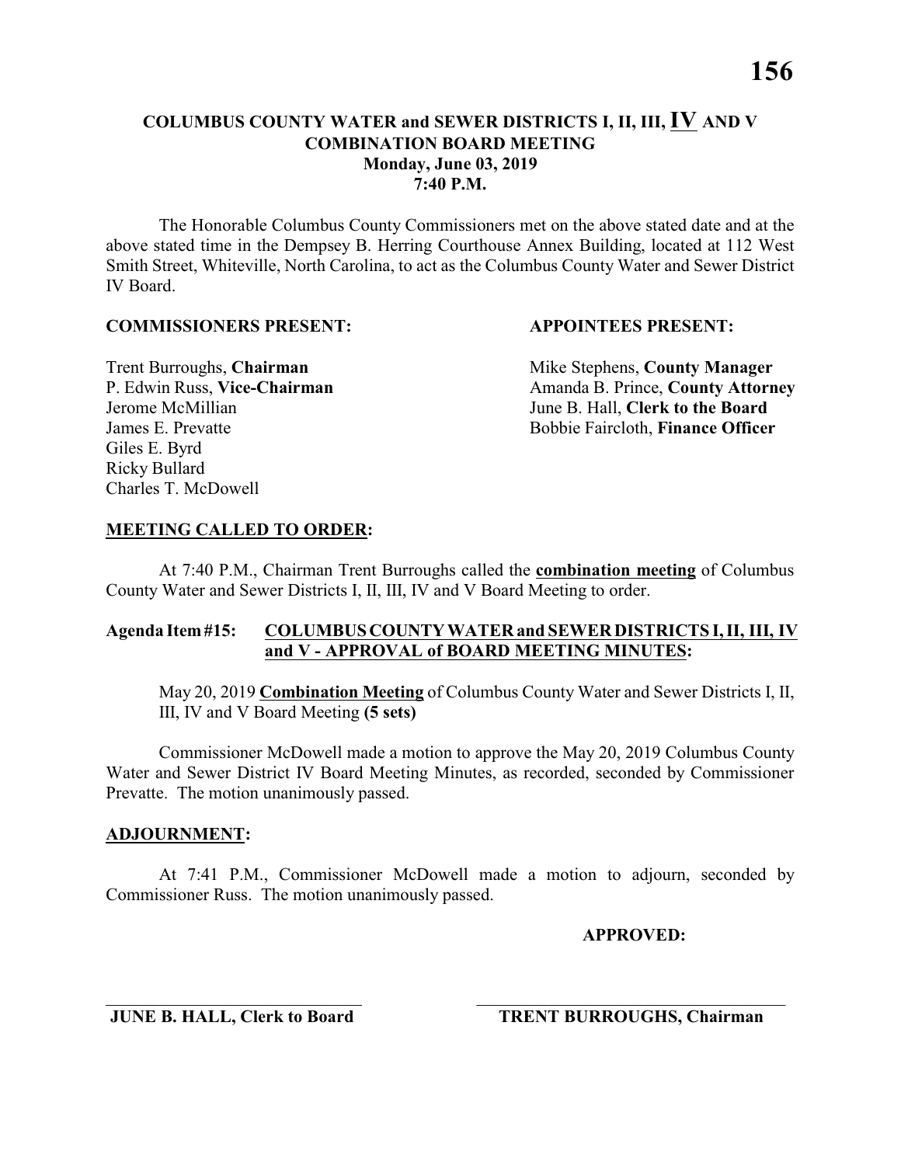# **COLUMBUS COUNTY WATER and SEWER DISTRICTS I, II, III, IV AND V COMBINATION BOARD MEETING Monday, June 03, 2019 7:40 P.M.**

The Honorable Columbus County Commissioners met on the above stated date and at the above stated time in the Dempsey B. Herring Courthouse Annex Building, located at 112 West Smith Street, Whiteville, North Carolina, to act as the Columbus County Water and Sewer District IV Board.

#### **COMMISSIONERS PRESENT: APPOINTEES PRESENT:**

Giles E. Byrd Ricky Bullard Charles T. McDowell

**Trent Burroughs, Chairman** Mike Stephens, **County Manager** P. Edwin Russ, Vice-Chairman Amanda B. Prince, County Attorney Jerome McMillian June B. Hall, **Clerk to the Board** James E. Prevatte Bobbie Faircloth, **Finance Officer**

# **MEETING CALLED TO ORDER:**

At 7:40 P.M., Chairman Trent Burroughs called the **combination meeting** of Columbus County Water and Sewer Districts I, II, III, IV and V Board Meeting to order.

# **Agenda Item #15: COLUMBUS COUNTY WATER and SEWER DISTRICTS I, II, III, IV and V - APPROVAL of BOARD MEETING MINUTES:**

May 20, 2019 **Combination Meeting** of Columbus County Water and Sewer Districts I, II, III, IV and V Board Meeting **(5 sets)**

Commissioner McDowell made a motion to approve the May 20, 2019 Columbus County Water and Sewer District IV Board Meeting Minutes, as recorded, seconded by Commissioner Prevatte. The motion unanimously passed.

#### **ADJOURNMENT:**

At 7:41 P.M., Commissioner McDowell made a motion to adjourn, seconded by Commissioner Russ. The motion unanimously passed.

\_\_\_\_\_\_\_\_\_\_\_\_\_\_\_\_\_\_\_\_\_\_\_\_\_\_\_\_\_ \_\_\_\_\_\_\_\_\_\_\_\_\_\_\_\_\_\_\_\_\_\_\_\_\_\_\_\_\_\_\_\_\_\_\_

**APPROVED:**